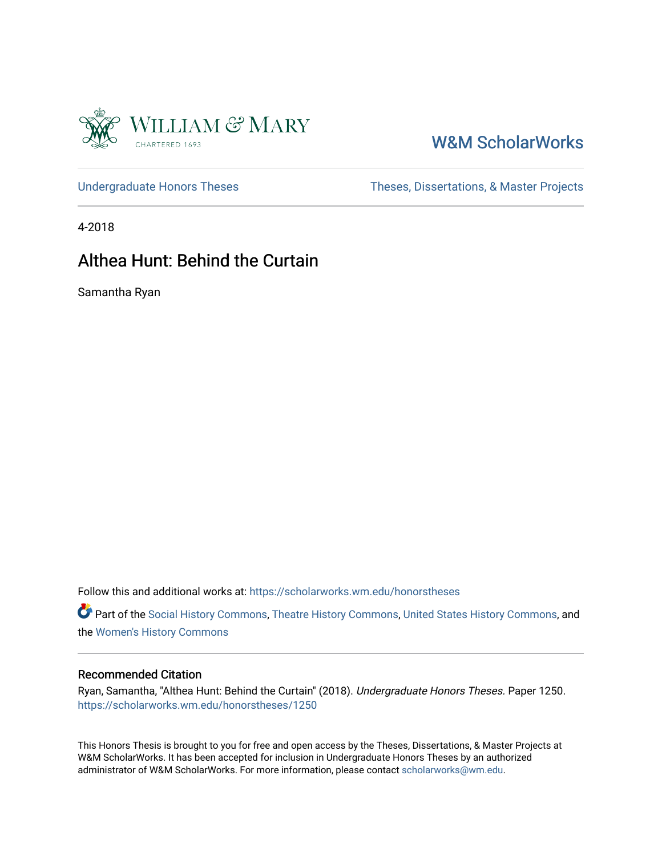

## [W&M ScholarWorks](https://scholarworks.wm.edu/)

[Undergraduate Honors Theses](https://scholarworks.wm.edu/honorstheses) Theses Theses, Dissertations, & Master Projects

4-2018

### Althea Hunt: Behind the Curtain

Samantha Ryan

Follow this and additional works at: [https://scholarworks.wm.edu/honorstheses](https://scholarworks.wm.edu/honorstheses?utm_source=scholarworks.wm.edu%2Fhonorstheses%2F1250&utm_medium=PDF&utm_campaign=PDFCoverPages) 

Part of the [Social History Commons](http://network.bepress.com/hgg/discipline/506?utm_source=scholarworks.wm.edu%2Fhonorstheses%2F1250&utm_medium=PDF&utm_campaign=PDFCoverPages), [Theatre History Commons,](http://network.bepress.com/hgg/discipline/553?utm_source=scholarworks.wm.edu%2Fhonorstheses%2F1250&utm_medium=PDF&utm_campaign=PDFCoverPages) [United States History Commons](http://network.bepress.com/hgg/discipline/495?utm_source=scholarworks.wm.edu%2Fhonorstheses%2F1250&utm_medium=PDF&utm_campaign=PDFCoverPages), and the [Women's History Commons](http://network.bepress.com/hgg/discipline/507?utm_source=scholarworks.wm.edu%2Fhonorstheses%2F1250&utm_medium=PDF&utm_campaign=PDFCoverPages)

### Recommended Citation

Ryan, Samantha, "Althea Hunt: Behind the Curtain" (2018). Undergraduate Honors Theses. Paper 1250. [https://scholarworks.wm.edu/honorstheses/1250](https://scholarworks.wm.edu/honorstheses/1250?utm_source=scholarworks.wm.edu%2Fhonorstheses%2F1250&utm_medium=PDF&utm_campaign=PDFCoverPages)

This Honors Thesis is brought to you for free and open access by the Theses, Dissertations, & Master Projects at W&M ScholarWorks. It has been accepted for inclusion in Undergraduate Honors Theses by an authorized administrator of W&M ScholarWorks. For more information, please contact [scholarworks@wm.edu.](mailto:scholarworks@wm.edu)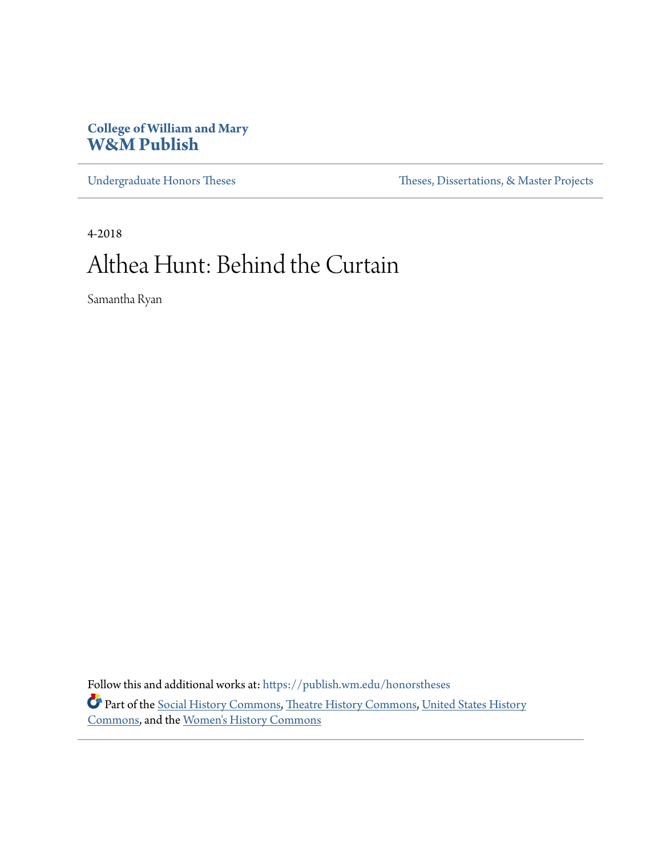### **College of William and Mary [W&M Publish](https://publish.wm.edu?utm_source=publish.wm.edu%2Fhonorstheses%2F1&utm_medium=PDF&utm_campaign=PDFCoverPages)**

[Undergraduate Honors Theses](https://publish.wm.edu/honorstheses?utm_source=publish.wm.edu%2Fhonorstheses%2F1&utm_medium=PDF&utm_campaign=PDFCoverPages) Theses [Theses, Dissertations, & Master Projects](https://publish.wm.edu/etds?utm_source=publish.wm.edu%2Fhonorstheses%2F1&utm_medium=PDF&utm_campaign=PDFCoverPages)

4-2018

# Althea Hunt: Behind the Curtain

Samantha Ryan

Follow this and additional works at: [https://publish.wm.edu/honorstheses](https://publish.wm.edu/honorstheses?utm_source=publish.wm.edu%2Fhonorstheses%2F1&utm_medium=PDF&utm_campaign=PDFCoverPages) Part of the [Social History Commons,](http://network.bepress.com/hgg/discipline/506?utm_source=publish.wm.edu%2Fhonorstheses%2F1&utm_medium=PDF&utm_campaign=PDFCoverPages) [Theatre History Commons,](http://network.bepress.com/hgg/discipline/553?utm_source=publish.wm.edu%2Fhonorstheses%2F1&utm_medium=PDF&utm_campaign=PDFCoverPages) [United States History](http://network.bepress.com/hgg/discipline/495?utm_source=publish.wm.edu%2Fhonorstheses%2F1&utm_medium=PDF&utm_campaign=PDFCoverPages) [Commons,](http://network.bepress.com/hgg/discipline/495?utm_source=publish.wm.edu%2Fhonorstheses%2F1&utm_medium=PDF&utm_campaign=PDFCoverPages) and the [Women's History Commons](http://network.bepress.com/hgg/discipline/507?utm_source=publish.wm.edu%2Fhonorstheses%2F1&utm_medium=PDF&utm_campaign=PDFCoverPages)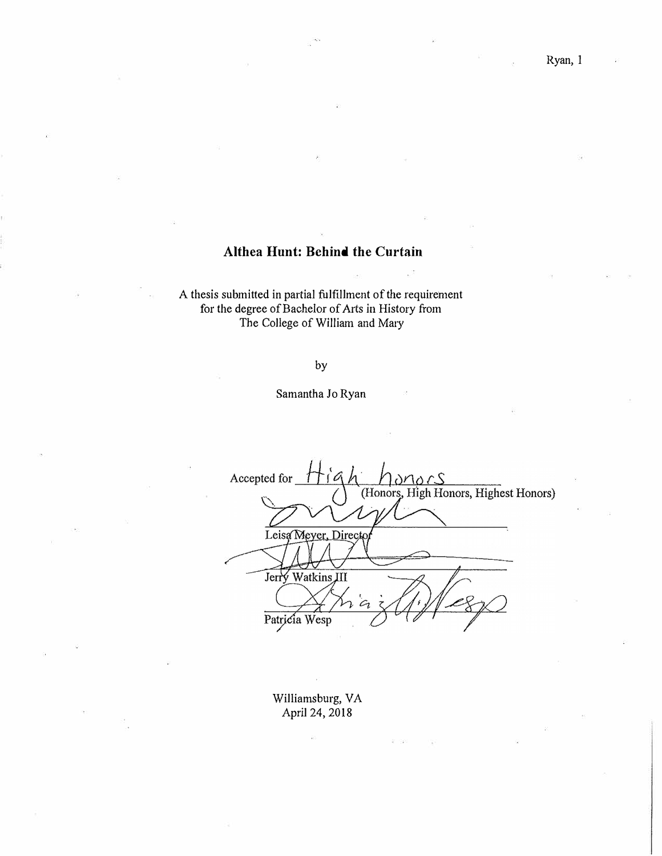### **Althea Hunt: Behind the Curtain**

A thesis submitted in partial fulfillment of the requirement for the degree of Bachelor of Arts in History from The College of William and Mary

### by

### Samantha Jo Ryan

Accepted for onors (Honors, High Honors, Highest Honors) Leisa Meyer, Directo Jerry Watkins JII  $\mathcal{C}_{1}$ Patricia Wesp

Williamsburg, VA April 24, 2018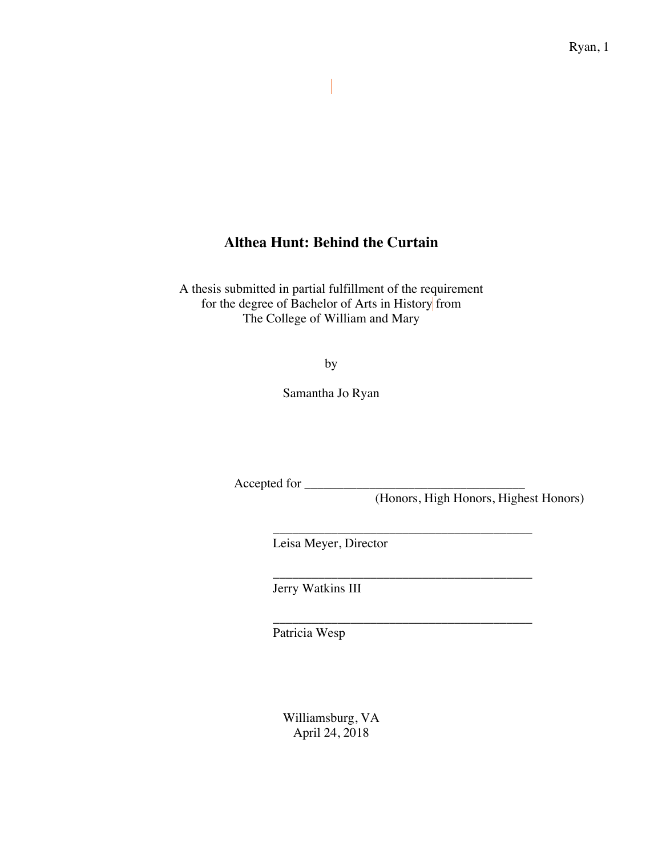### **Althea Hunt: Behind the Curtain**

 $\begin{array}{c} \end{array}$ 

A thesis submitted in partial fulfillment of the requirement for the degree of Bachelor of Arts in History from The College of William and Mary

by

Samantha Jo Ryan

Accepted for \_\_\_\_\_\_\_\_\_\_\_\_\_\_\_\_\_\_\_\_\_\_\_\_\_\_\_\_\_\_\_\_\_\_

\_\_\_\_\_\_\_\_\_\_\_\_\_\_\_\_\_\_\_\_\_\_\_\_\_\_\_\_\_\_\_\_\_\_\_\_\_\_\_\_

\_\_\_\_\_\_\_\_\_\_\_\_\_\_\_\_\_\_\_\_\_\_\_\_\_\_\_\_\_\_\_\_\_\_\_\_\_\_\_\_

\_\_\_\_\_\_\_\_\_\_\_\_\_\_\_\_\_\_\_\_\_\_\_\_\_\_\_\_\_\_\_\_\_\_\_\_\_\_\_\_

(Honors, High Honors, Highest Honors)

Leisa Meyer, Director

Jerry Watkins III

Patricia Wesp

Williamsburg, VA April 24, 2018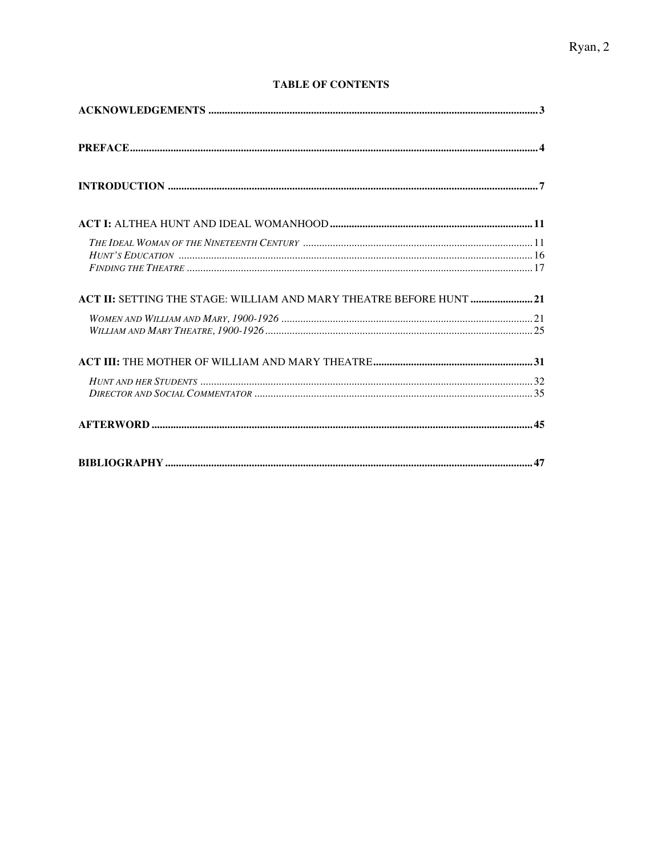### **TABLE OF CONTENTS**

| ACT II: SETTING THE STAGE: WILLIAM AND MARY THEATRE BEFORE HUNT 21 |  |
|--------------------------------------------------------------------|--|
|                                                                    |  |
|                                                                    |  |
|                                                                    |  |
|                                                                    |  |
|                                                                    |  |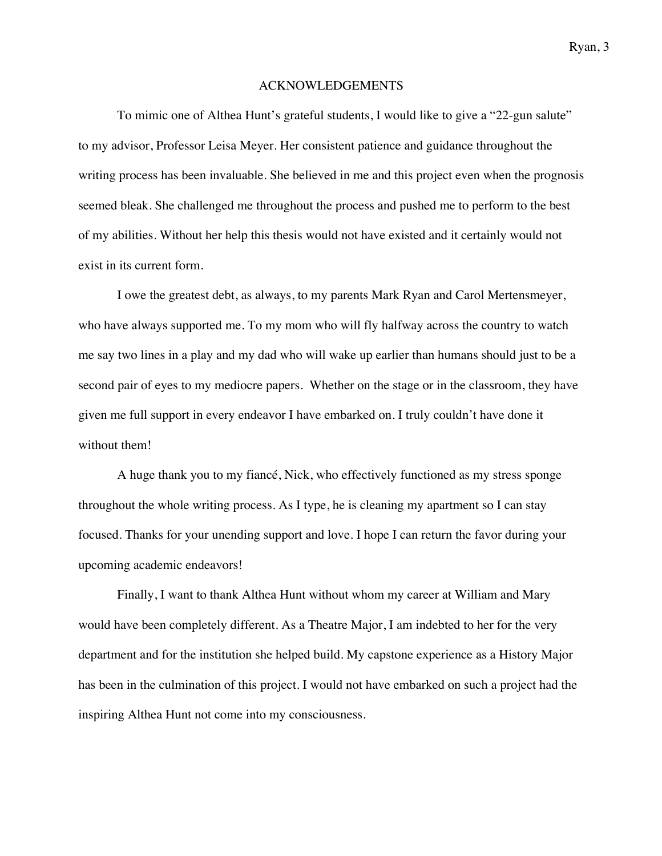#### ACKNOWLEDGEMENTS

To mimic one of Althea Hunt's grateful students, I would like to give a "22-gun salute" to my advisor, Professor Leisa Meyer. Her consistent patience and guidance throughout the writing process has been invaluable. She believed in me and this project even when the prognosis seemed bleak. She challenged me throughout the process and pushed me to perform to the best of my abilities. Without her help this thesis would not have existed and it certainly would not exist in its current form.

I owe the greatest debt, as always, to my parents Mark Ryan and Carol Mertensmeyer, who have always supported me. To my mom who will fly halfway across the country to watch me say two lines in a play and my dad who will wake up earlier than humans should just to be a second pair of eyes to my mediocre papers. Whether on the stage or in the classroom, they have given me full support in every endeavor I have embarked on. I truly couldn't have done it without them!

A huge thank you to my fiancé, Nick, who effectively functioned as my stress sponge throughout the whole writing process. As I type, he is cleaning my apartment so I can stay focused. Thanks for your unending support and love. I hope I can return the favor during your upcoming academic endeavors!

Finally, I want to thank Althea Hunt without whom my career at William and Mary would have been completely different. As a Theatre Major, I am indebted to her for the very department and for the institution she helped build. My capstone experience as a History Major has been in the culmination of this project. I would not have embarked on such a project had the inspiring Althea Hunt not come into my consciousness.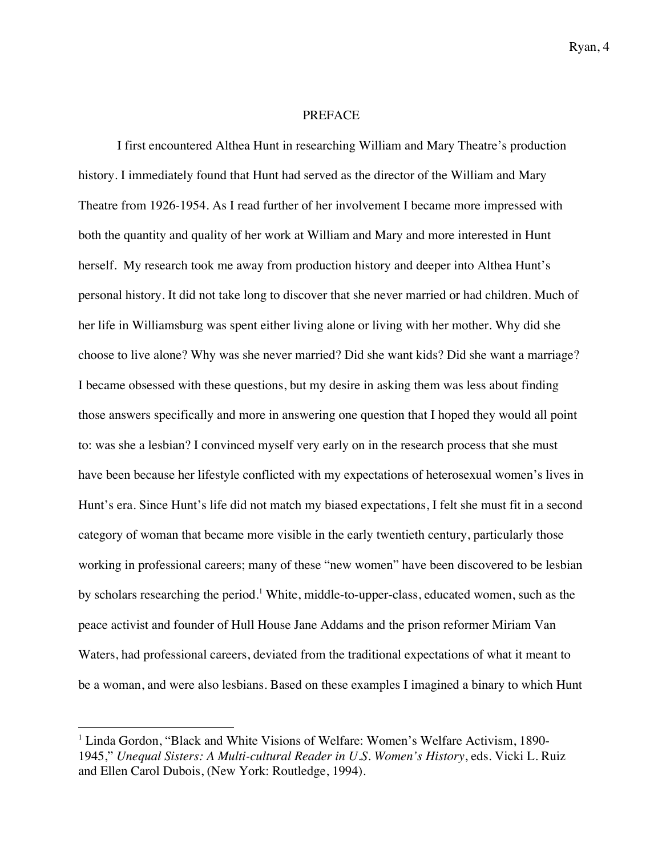### PREFACE

I first encountered Althea Hunt in researching William and Mary Theatre's production history. I immediately found that Hunt had served as the director of the William and Mary Theatre from 1926-1954. As I read further of her involvement I became more impressed with both the quantity and quality of her work at William and Mary and more interested in Hunt herself. My research took me away from production history and deeper into Althea Hunt's personal history. It did not take long to discover that she never married or had children. Much of her life in Williamsburg was spent either living alone or living with her mother. Why did she choose to live alone? Why was she never married? Did she want kids? Did she want a marriage? I became obsessed with these questions, but my desire in asking them was less about finding those answers specifically and more in answering one question that I hoped they would all point to: was she a lesbian? I convinced myself very early on in the research process that she must have been because her lifestyle conflicted with my expectations of heterosexual women's lives in Hunt's era. Since Hunt's life did not match my biased expectations, I felt she must fit in a second category of woman that became more visible in the early twentieth century, particularly those working in professional careers; many of these "new women" have been discovered to be lesbian by scholars researching the period.<sup>1</sup> White, middle-to-upper-class, educated women, such as the peace activist and founder of Hull House Jane Addams and the prison reformer Miriam Van Waters, had professional careers, deviated from the traditional expectations of what it meant to be a woman, and were also lesbians. Based on these examples I imagined a binary to which Hunt

<sup>&</sup>lt;sup>1</sup> Linda Gordon, "Black and White Visions of Welfare: Women's Welfare Activism, 1890-1945," *Unequal Sisters: A Multi-cultural Reader in U.S. Women's History*, eds. Vicki L. Ruiz and Ellen Carol Dubois, (New York: Routledge, 1994).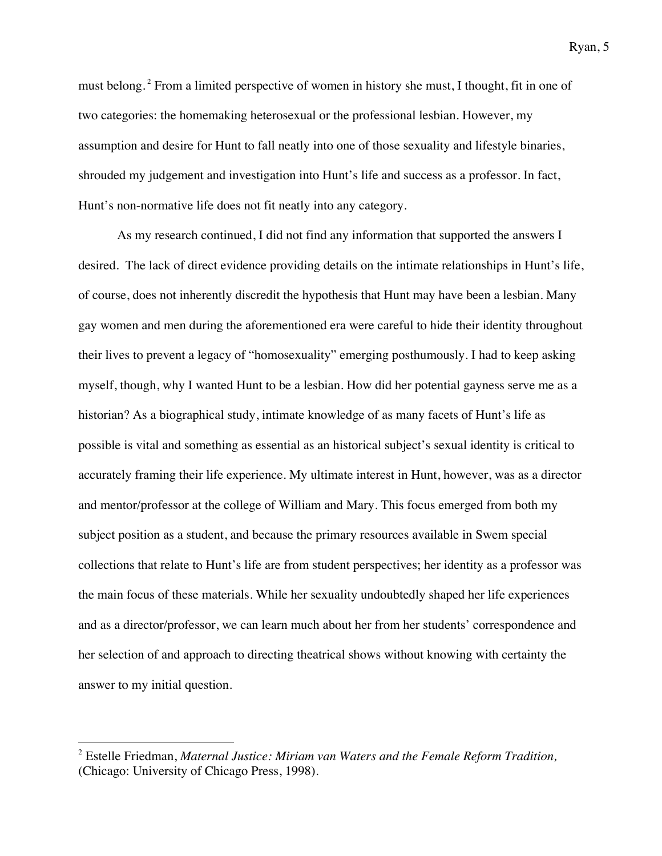must belong. <sup>2</sup> From a limited perspective of women in history she must, I thought, fit in one of two categories: the homemaking heterosexual or the professional lesbian. However, my assumption and desire for Hunt to fall neatly into one of those sexuality and lifestyle binaries, shrouded my judgement and investigation into Hunt's life and success as a professor. In fact, Hunt's non-normative life does not fit neatly into any category.

As my research continued, I did not find any information that supported the answers I desired. The lack of direct evidence providing details on the intimate relationships in Hunt's life, of course, does not inherently discredit the hypothesis that Hunt may have been a lesbian. Many gay women and men during the aforementioned era were careful to hide their identity throughout their lives to prevent a legacy of "homosexuality" emerging posthumously. I had to keep asking myself, though, why I wanted Hunt to be a lesbian. How did her potential gayness serve me as a historian? As a biographical study, intimate knowledge of as many facets of Hunt's life as possible is vital and something as essential as an historical subject's sexual identity is critical to accurately framing their life experience. My ultimate interest in Hunt, however, was as a director and mentor/professor at the college of William and Mary. This focus emerged from both my subject position as a student, and because the primary resources available in Swem special collections that relate to Hunt's life are from student perspectives; her identity as a professor was the main focus of these materials. While her sexuality undoubtedly shaped her life experiences and as a director/professor, we can learn much about her from her students' correspondence and her selection of and approach to directing theatrical shows without knowing with certainty the answer to my initial question.

<sup>2</sup> Estelle Friedman, *Maternal Justice: Miriam van Waters and the Female Reform Tradition,*  (Chicago: University of Chicago Press, 1998).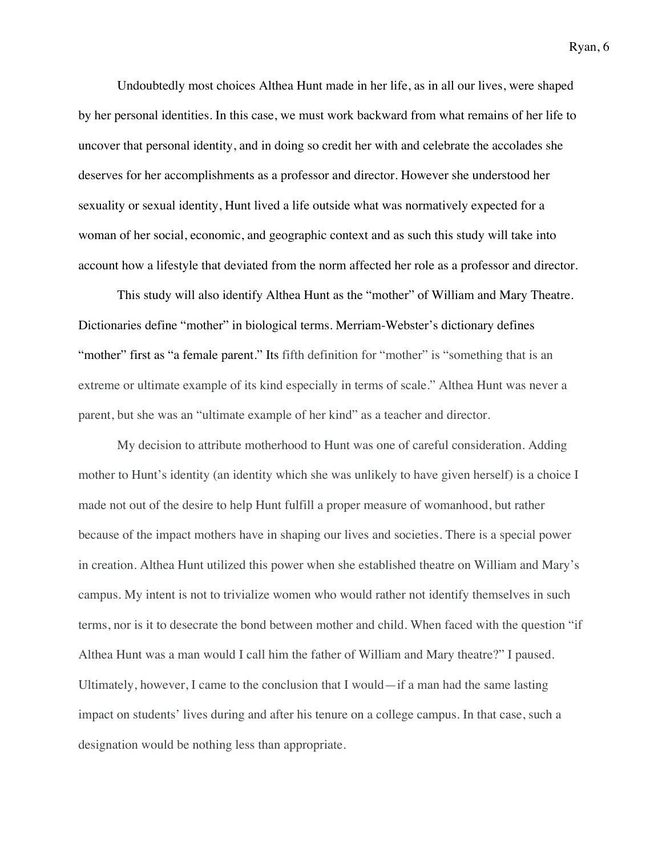Undoubtedly most choices Althea Hunt made in her life, as in all our lives, were shaped by her personal identities. In this case, we must work backward from what remains of her life to uncover that personal identity, and in doing so credit her with and celebrate the accolades she deserves for her accomplishments as a professor and director. However she understood her sexuality or sexual identity, Hunt lived a life outside what was normatively expected for a woman of her social, economic, and geographic context and as such this study will take into account how a lifestyle that deviated from the norm affected her role as a professor and director.

This study will also identify Althea Hunt as the "mother" of William and Mary Theatre. Dictionaries define "mother" in biological terms. Merriam-Webster's dictionary defines "mother" first as "a female parent." Its fifth definition for "mother" is "something that is an extreme or ultimate example of its kind especially in terms of scale." Althea Hunt was never a parent, but she was an "ultimate example of her kind" as a teacher and director.

My decision to attribute motherhood to Hunt was one of careful consideration. Adding mother to Hunt's identity (an identity which she was unlikely to have given herself) is a choice I made not out of the desire to help Hunt fulfill a proper measure of womanhood, but rather because of the impact mothers have in shaping our lives and societies. There is a special power in creation. Althea Hunt utilized this power when she established theatre on William and Mary's campus. My intent is not to trivialize women who would rather not identify themselves in such terms, nor is it to desecrate the bond between mother and child. When faced with the question "if Althea Hunt was a man would I call him the father of William and Mary theatre?" I paused. Ultimately, however, I came to the conclusion that I would—if a man had the same lasting impact on students' lives during and after his tenure on a college campus. In that case, such a designation would be nothing less than appropriate.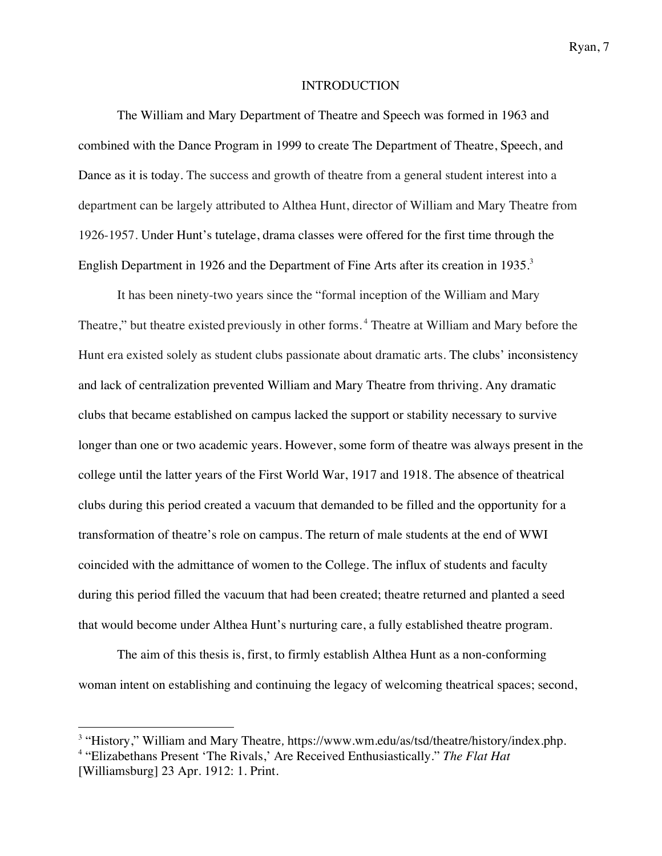### INTRODUCTION

The William and Mary Department of Theatre and Speech was formed in 1963 and combined with the Dance Program in 1999 to create The Department of Theatre, Speech, and Dance as it is today. The success and growth of theatre from a general student interest into a department can be largely attributed to Althea Hunt, director of William and Mary Theatre from 1926-1957. Under Hunt's tutelage, drama classes were offered for the first time through the English Department in 1926 and the Department of Fine Arts after its creation in 1935.<sup>3</sup>

It has been ninety-two years since the "formal inception of the William and Mary Theatre," but theatre existed previously in other forms. <sup>4</sup> Theatre at William and Mary before the Hunt era existed solely as student clubs passionate about dramatic arts. The clubs' inconsistency and lack of centralization prevented William and Mary Theatre from thriving. Any dramatic clubs that became established on campus lacked the support or stability necessary to survive longer than one or two academic years. However, some form of theatre was always present in the college until the latter years of the First World War, 1917 and 1918. The absence of theatrical clubs during this period created a vacuum that demanded to be filled and the opportunity for a transformation of theatre's role on campus. The return of male students at the end of WWI coincided with the admittance of women to the College. The influx of students and faculty during this period filled the vacuum that had been created; theatre returned and planted a seed that would become under Althea Hunt's nurturing care, a fully established theatre program.

The aim of this thesis is, first, to firmly establish Althea Hunt as a non-conforming woman intent on establishing and continuing the legacy of welcoming theatrical spaces; second,

<sup>3</sup> "History," William and Mary Theatre*,* https://www.wm.edu/as/tsd/theatre/history/index.php*.* <sup>4</sup> "Elizabethans Present 'The Rivals,' Are Received Enthusiastically." *The Flat Hat* [Williamsburg] 23 Apr. 1912: 1. Print.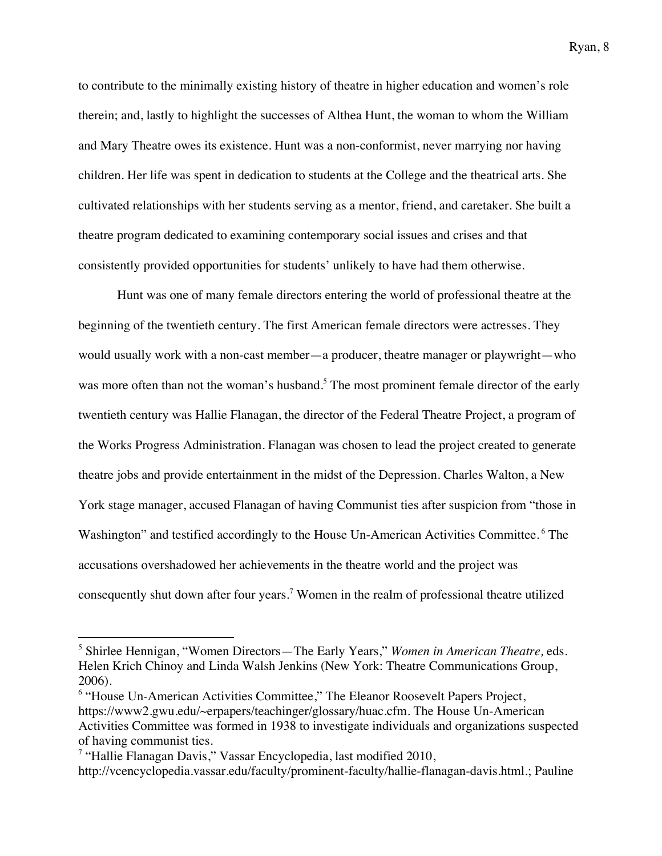to contribute to the minimally existing history of theatre in higher education and women's role therein; and, lastly to highlight the successes of Althea Hunt, the woman to whom the William and Mary Theatre owes its existence. Hunt was a non-conformist, never marrying nor having children. Her life was spent in dedication to students at the College and the theatrical arts. She cultivated relationships with her students serving as a mentor, friend, and caretaker. She built a theatre program dedicated to examining contemporary social issues and crises and that consistently provided opportunities for students' unlikely to have had them otherwise.

Hunt was one of many female directors entering the world of professional theatre at the beginning of the twentieth century. The first American female directors were actresses. They would usually work with a non-cast member—a producer, theatre manager or playwright—who was more often than not the woman's husband.<sup>5</sup> The most prominent female director of the early twentieth century was Hallie Flanagan, the director of the Federal Theatre Project, a program of the Works Progress Administration. Flanagan was chosen to lead the project created to generate theatre jobs and provide entertainment in the midst of the Depression. Charles Walton, a New York stage manager, accused Flanagan of having Communist ties after suspicion from "those in Washington" and testified accordingly to the House Un-American Activities Committee.<sup>6</sup> The accusations overshadowed her achievements in the theatre world and the project was consequently shut down after four years.<sup>7</sup> Women in the realm of professional theatre utilized

<sup>5</sup> Shirlee Hennigan, "Women Directors—The Early Years," *Women in American Theatre,* eds. Helen Krich Chinoy and Linda Walsh Jenkins (New York: Theatre Communications Group, 2006).

<sup>6</sup> "House Un-American Activities Committee," The Eleanor Roosevelt Papers Project, https://www2.gwu.edu/~erpapers/teachinger/glossary/huac.cfm. The House Un-American Activities Committee was formed in 1938 to investigate individuals and organizations suspected of having communist ties.

<sup>&</sup>lt;sup>7</sup> "Hallie Flanagan Davis," Vassar Encyclopedia, last modified  $2010$ , http://vcencyclopedia.vassar.edu/faculty/prominent-faculty/hallie-flanagan-davis.html.; Pauline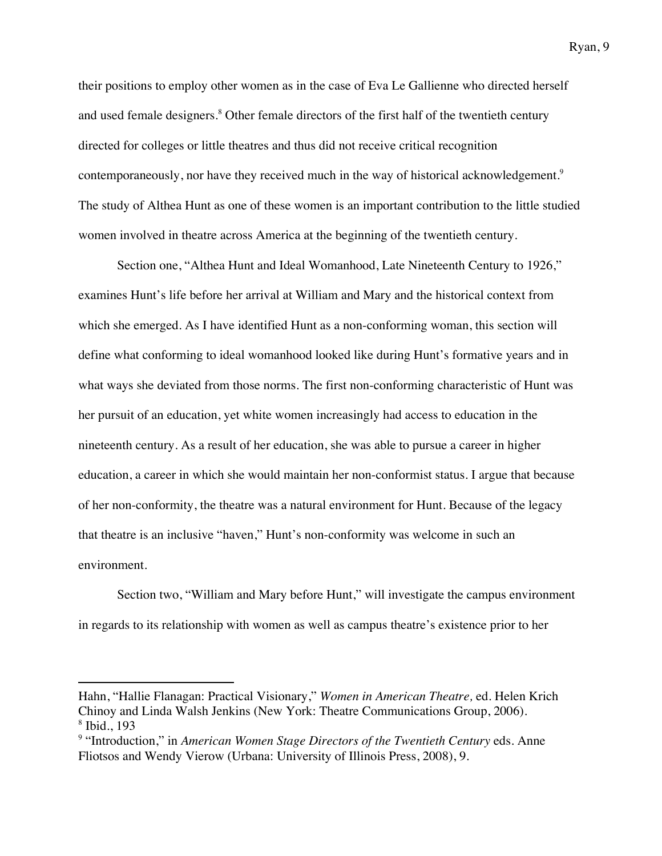their positions to employ other women as in the case of Eva Le Gallienne who directed herself and used female designers.<sup>8</sup> Other female directors of the first half of the twentieth century directed for colleges or little theatres and thus did not receive critical recognition contemporaneously, nor have they received much in the way of historical acknowledgement.<sup>9</sup> The study of Althea Hunt as one of these women is an important contribution to the little studied women involved in theatre across America at the beginning of the twentieth century.

Section one, "Althea Hunt and Ideal Womanhood, Late Nineteenth Century to 1926," examines Hunt's life before her arrival at William and Mary and the historical context from which she emerged. As I have identified Hunt as a non-conforming woman, this section will define what conforming to ideal womanhood looked like during Hunt's formative years and in what ways she deviated from those norms. The first non-conforming characteristic of Hunt was her pursuit of an education, yet white women increasingly had access to education in the nineteenth century. As a result of her education, she was able to pursue a career in higher education, a career in which she would maintain her non-conformist status. I argue that because of her non-conformity, the theatre was a natural environment for Hunt. Because of the legacy that theatre is an inclusive "haven," Hunt's non-conformity was welcome in such an environment.

Section two, "William and Mary before Hunt," will investigate the campus environment in regards to its relationship with women as well as campus theatre's existence prior to her

Hahn, "Hallie Flanagan: Practical Visionary," *Women in American Theatre,* ed. Helen Krich Chinoy and Linda Walsh Jenkins (New York: Theatre Communications Group, 2006). <sup>8</sup> Ibid., 193

<sup>&</sup>lt;sup>9</sup> "Introduction," in *American Women Stage Directors of the Twentieth Century eds. Anne* Fliotsos and Wendy Vierow (Urbana: University of Illinois Press, 2008), 9.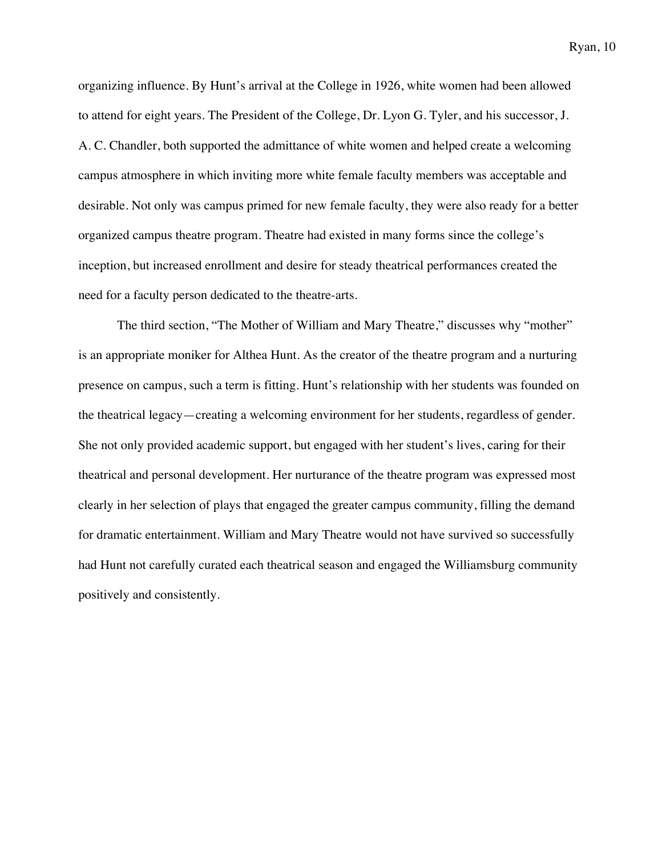organizing influence. By Hunt's arrival at the College in 1926, white women had been allowed to attend for eight years. The President of the College, Dr. Lyon G. Tyler, and his successor, J. A. C. Chandler, both supported the admittance of white women and helped create a welcoming campus atmosphere in which inviting more white female faculty members was acceptable and desirable. Not only was campus primed for new female faculty, they were also ready for a better organized campus theatre program. Theatre had existed in many forms since the college's inception, but increased enrollment and desire for steady theatrical performances created the need for a faculty person dedicated to the theatre-arts.

The third section, "The Mother of William and Mary Theatre," discusses why "mother" is an appropriate moniker for Althea Hunt. As the creator of the theatre program and a nurturing presence on campus, such a term is fitting. Hunt's relationship with her students was founded on the theatrical legacy—creating a welcoming environment for her students, regardless of gender. She not only provided academic support, but engaged with her student's lives, caring for their theatrical and personal development. Her nurturance of the theatre program was expressed most clearly in her selection of plays that engaged the greater campus community, filling the demand for dramatic entertainment. William and Mary Theatre would not have survived so successfully had Hunt not carefully curated each theatrical season and engaged the Williamsburg community positively and consistently.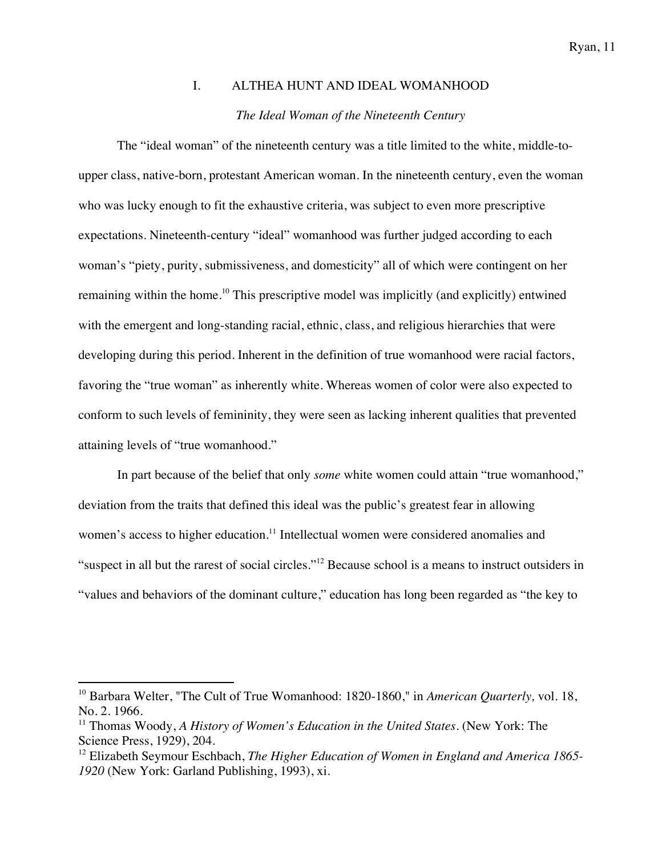# I. ALTHEA HUNT AND IDEAL WOMANHOOD *The Ideal Woman of the Nineteenth Century*

The "ideal woman" of the nineteenth century was a title limited to the white, middle-toupper class, native-born, protestant American woman. In the nineteenth century, even the woman who was lucky enough to fit the exhaustive criteria, was subject to even more prescriptive expectations. Nineteenth-century "ideal" womanhood was further judged according to each woman's "piety, purity, submissiveness, and domesticity" all of which were contingent on her remaining within the home.<sup>10</sup> This prescriptive model was implicitly (and explicitly) entwined with the emergent and long-standing racial, ethnic, class, and religious hierarchies that were developing during this period. Inherent in the definition of true womanhood were racial factors, favoring the "true woman" as inherently white. Whereas women of color were also expected to conform to such levels of femininity, they were seen as lacking inherent qualities that prevented attaining levels of "true womanhood."

In part because of the belief that only *some* white women could attain "true womanhood," deviation from the traits that defined this ideal was the public's greatest fear in allowing women's access to higher education.<sup>11</sup> Intellectual women were considered anomalies and "suspect in all but the rarest of social circles."<sup>12</sup> Because school is a means to instruct outsiders in "values and behaviors of the dominant culture," education has long been regarded as "the key to

<sup>&</sup>lt;sup>10</sup> Barbara Welter, "The Cult of True Womanhood: 1820-1860," in *American Quarterly*, vol. 18, No. 2*.* 1966.

<sup>11</sup> Thomas Woody, *A History of Women's Education in the United States*. (New York: The Science Press, 1929), 204.

<sup>&</sup>lt;sup>12</sup> Elizabeth Seymour Eschbach, *The Higher Education of Women in England and America 1865-1920* (New York: Garland Publishing, 1993), xi.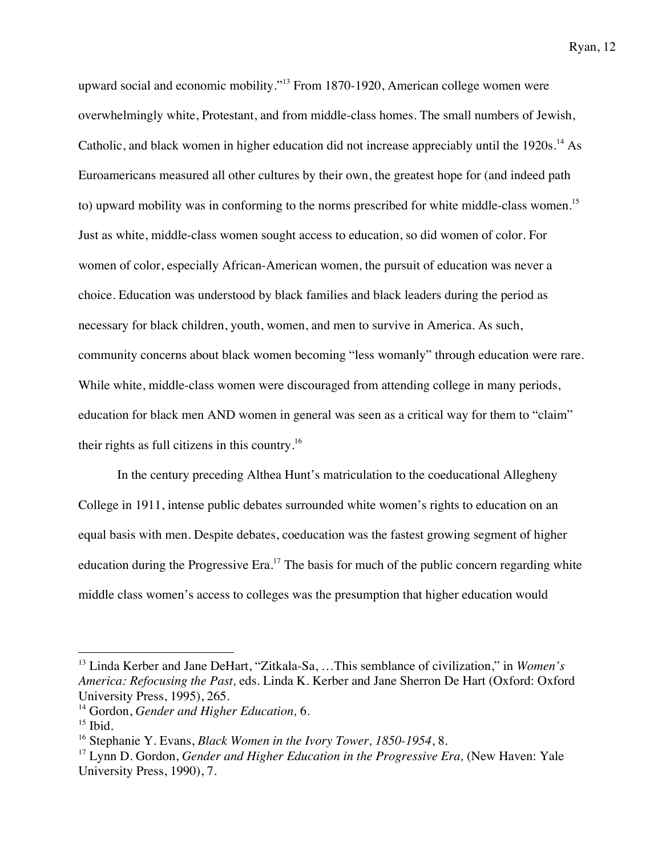upward social and economic mobility."13 From 1870-1920, American college women were overwhelmingly white, Protestant, and from middle-class homes. The small numbers of Jewish, Catholic, and black women in higher education did not increase appreciably until the 1920s.<sup>14</sup> As Euroamericans measured all other cultures by their own, the greatest hope for (and indeed path to) upward mobility was in conforming to the norms prescribed for white middle-class women.15 Just as white, middle-class women sought access to education, so did women of color. For women of color, especially African-American women, the pursuit of education was never a choice. Education was understood by black families and black leaders during the period as necessary for black children, youth, women, and men to survive in America. As such, community concerns about black women becoming "less womanly" through education were rare. While white, middle-class women were discouraged from attending college in many periods, education for black men AND women in general was seen as a critical way for them to "claim" their rights as full citizens in this country.16

In the century preceding Althea Hunt's matriculation to the coeducational Allegheny College in 1911, intense public debates surrounded white women's rights to education on an equal basis with men. Despite debates, coeducation was the fastest growing segment of higher education during the Progressive Era.<sup>17</sup> The basis for much of the public concern regarding white middle class women's access to colleges was the presumption that higher education would

<sup>13</sup> Linda Kerber and Jane DeHart, "Zitkala-Sa, …This semblance of civilization," in *Women's America: Refocusing the Past,* eds. Linda K. Kerber and Jane Sherron De Hart (Oxford: Oxford University Press, 1995), 265.

<sup>14</sup> Gordon, *Gender and Higher Education,* 6.

 $15$  Ibid.

<sup>16</sup> Stephanie Y. Evans, *Black Women in the Ivory Tower, 1850-1954*, 8.

<sup>&</sup>lt;sup>17</sup> Lynn D. Gordon, *Gender and Higher Education in the Progressive Era*, (New Haven: Yale University Press, 1990), 7.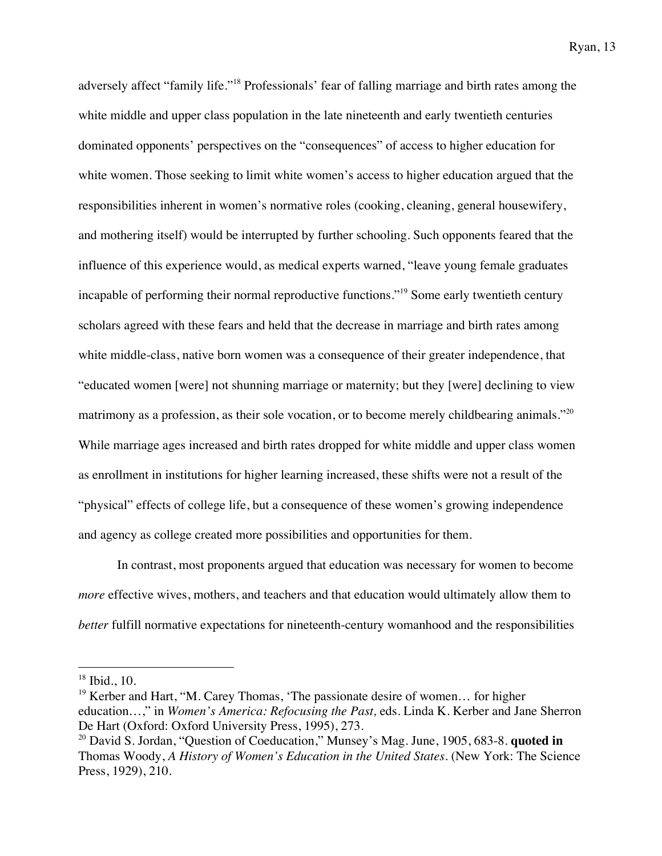adversely affect "family life."<sup>18</sup> Professionals' fear of falling marriage and birth rates among the white middle and upper class population in the late nineteenth and early twentieth centuries dominated opponents' perspectives on the "consequences" of access to higher education for white women. Those seeking to limit white women's access to higher education argued that the responsibilities inherent in women's normative roles (cooking, cleaning, general housewifery, and mothering itself) would be interrupted by further schooling. Such opponents feared that the influence of this experience would, as medical experts warned, "leave young female graduates incapable of performing their normal reproductive functions."<sup>19</sup> Some early twentieth century scholars agreed with these fears and held that the decrease in marriage and birth rates among white middle-class, native born women was a consequence of their greater independence, that "educated women [were] not shunning marriage or maternity; but they [were] declining to view matrimony as a profession, as their sole vocation, or to become merely childbearing animals."<sup>20</sup> While marriage ages increased and birth rates dropped for white middle and upper class women as enrollment in institutions for higher learning increased, these shifts were not a result of the "physical" effects of college life, but a consequence of these women's growing independence and agency as college created more possibilities and opportunities for them.

In contrast, most proponents argued that education was necessary for women to become *more* effective wives, mothers, and teachers and that education would ultimately allow them to *better* fulfill normative expectations for nineteenth-century womanhood and the responsibilities

 $18$  Ibid., 10.

<sup>19</sup> Kerber and Hart, "M. Carey Thomas, 'The passionate desire of women… for higher education…," in *Women's America: Refocusing the Past,* eds. Linda K. Kerber and Jane Sherron De Hart (Oxford: Oxford University Press, 1995), 273.

<sup>20</sup> David S. Jordan, "Question of Coeducation," Munsey's Mag. June, 1905, 683-8. **quoted in** Thomas Woody, *A History of Women's Education in the United States*. (New York: The Science Press, 1929), 210.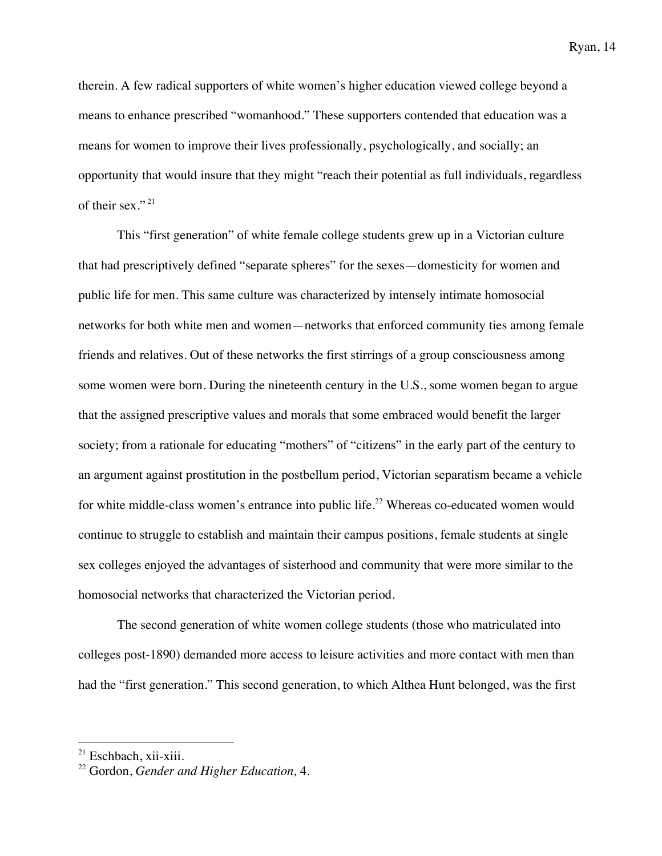therein. A few radical supporters of white women's higher education viewed college beyond a means to enhance prescribed "womanhood." These supporters contended that education was a means for women to improve their lives professionally, psychologically, and socially; an opportunity that would insure that they might "reach their potential as full individuals, regardless of their sex." <sup>21</sup>

This "first generation" of white female college students grew up in a Victorian culture that had prescriptively defined "separate spheres" for the sexes—domesticity for women and public life for men. This same culture was characterized by intensely intimate homosocial networks for both white men and women—networks that enforced community ties among female friends and relatives. Out of these networks the first stirrings of a group consciousness among some women were born. During the nineteenth century in the U.S., some women began to argue that the assigned prescriptive values and morals that some embraced would benefit the larger society; from a rationale for educating "mothers" of "citizens" in the early part of the century to an argument against prostitution in the postbellum period, Victorian separatism became a vehicle for white middle-class women's entrance into public life.<sup>22</sup> Whereas co-educated women would continue to struggle to establish and maintain their campus positions, female students at single sex colleges enjoyed the advantages of sisterhood and community that were more similar to the homosocial networks that characterized the Victorian period.

The second generation of white women college students (those who matriculated into colleges post-1890) demanded more access to leisure activities and more contact with men than had the "first generation." This second generation, to which Althea Hunt belonged, was the first

<sup>&</sup>lt;sup>21</sup> Eschbach, xii-xiii.

<sup>22</sup> Gordon, *Gender and Higher Education,* 4.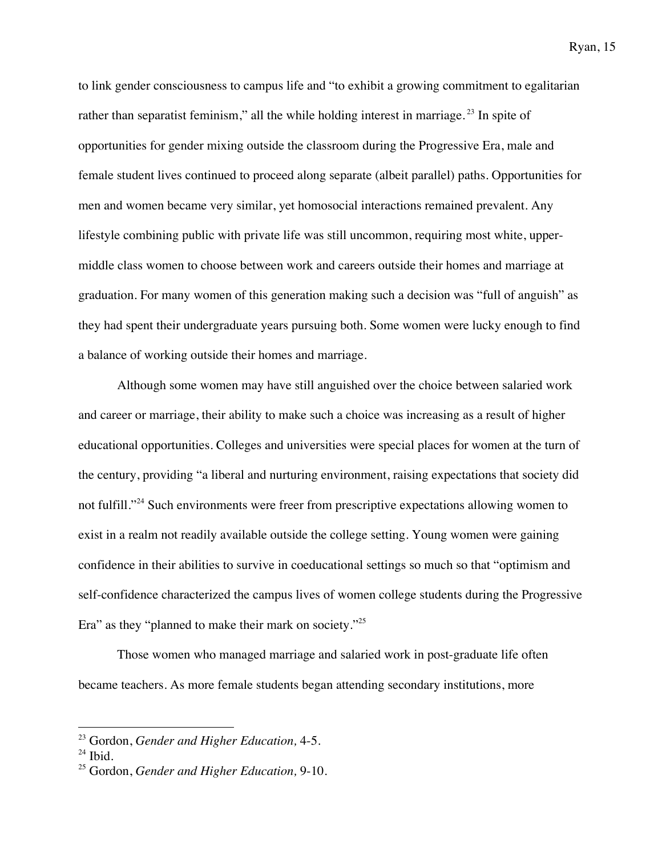to link gender consciousness to campus life and "to exhibit a growing commitment to egalitarian rather than separatist feminism," all the while holding interest in marriage.<sup>23</sup> In spite of opportunities for gender mixing outside the classroom during the Progressive Era, male and female student lives continued to proceed along separate (albeit parallel) paths. Opportunities for men and women became very similar, yet homosocial interactions remained prevalent. Any lifestyle combining public with private life was still uncommon, requiring most white, uppermiddle class women to choose between work and careers outside their homes and marriage at graduation. For many women of this generation making such a decision was "full of anguish" as they had spent their undergraduate years pursuing both. Some women were lucky enough to find a balance of working outside their homes and marriage.

Although some women may have still anguished over the choice between salaried work and career or marriage, their ability to make such a choice was increasing as a result of higher educational opportunities. Colleges and universities were special places for women at the turn of the century, providing "a liberal and nurturing environment, raising expectations that society did not fulfill."<sup>24</sup> Such environments were freer from prescriptive expectations allowing women to exist in a realm not readily available outside the college setting. Young women were gaining confidence in their abilities to survive in coeducational settings so much so that "optimism and self-confidence characterized the campus lives of women college students during the Progressive Era" as they "planned to make their mark on society."25

Those women who managed marriage and salaried work in post-graduate life often became teachers. As more female students began attending secondary institutions, more

<sup>23</sup> Gordon, *Gender and Higher Education,* 4-5.

 $24$  Ibid.

<sup>25</sup> Gordon, *Gender and Higher Education,* 9-10.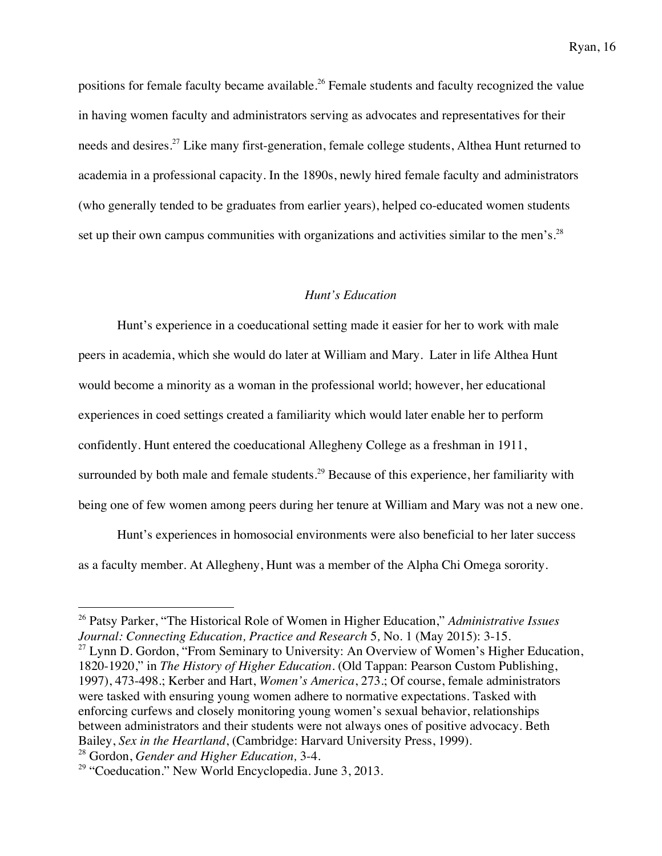positions for female faculty became available.<sup>26</sup> Female students and faculty recognized the value in having women faculty and administrators serving as advocates and representatives for their needs and desires.<sup>27</sup> Like many first-generation, female college students, Althea Hunt returned to academia in a professional capacity. In the 1890s, newly hired female faculty and administrators (who generally tended to be graduates from earlier years), helped co-educated women students set up their own campus communities with organizations and activities similar to the men's.<sup>28</sup>

### *Hunt's Education*

Hunt's experience in a coeducational setting made it easier for her to work with male peers in academia, which she would do later at William and Mary. Later in life Althea Hunt would become a minority as a woman in the professional world; however, her educational experiences in coed settings created a familiarity which would later enable her to perform confidently. Hunt entered the coeducational Allegheny College as a freshman in 1911, surrounded by both male and female students.<sup>29</sup> Because of this experience, her familiarity with being one of few women among peers during her tenure at William and Mary was not a new one.

Hunt's experiences in homosocial environments were also beneficial to her later success as a faculty member. At Allegheny, Hunt was a member of the Alpha Chi Omega sorority.

<sup>26</sup> Patsy Parker, "The Historical Role of Women in Higher Education," *Administrative Issues Journal: Connecting Education, Practice and Research* 5*,* No. 1 (May 2015): 3-15.

 $27$  Lynn D. Gordon, "From Seminary to University: An Overview of Women's Higher Education, 1820-1920," in *The History of Higher Education.* (Old Tappan: Pearson Custom Publishing, 1997), 473-498.; Kerber and Hart, *Women's America*, 273.; Of course, female administrators were tasked with ensuring young women adhere to normative expectations. Tasked with enforcing curfews and closely monitoring young women's sexual behavior, relationships between administrators and their students were not always ones of positive advocacy. Beth Bailey, *Sex in the Heartland*, (Cambridge: Harvard University Press, 1999).

<sup>28</sup> Gordon, *Gender and Higher Education,* 3-4.

 $29$  "Coeducation." New World Encyclopedia. June 3, 2013.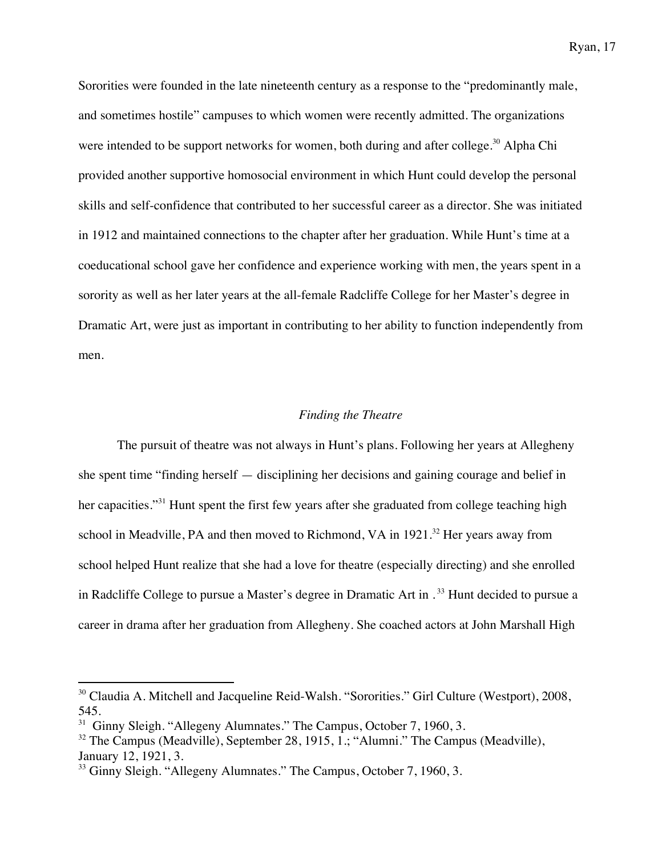Sororities were founded in the late nineteenth century as a response to the "predominantly male, and sometimes hostile" campuses to which women were recently admitted. The organizations were intended to be support networks for women, both during and after college.<sup>30</sup> Alpha Chi provided another supportive homosocial environment in which Hunt could develop the personal skills and self-confidence that contributed to her successful career as a director. She was initiated in 1912 and maintained connections to the chapter after her graduation. While Hunt's time at a coeducational school gave her confidence and experience working with men, the years spent in a sorority as well as her later years at the all-female Radcliffe College for her Master's degree in Dramatic Art, were just as important in contributing to her ability to function independently from men.

### *Finding the Theatre*

The pursuit of theatre was not always in Hunt's plans. Following her years at Allegheny she spent time "finding herself — disciplining her decisions and gaining courage and belief in her capacities."<sup>31</sup> Hunt spent the first few years after she graduated from college teaching high school in Meadville, PA and then moved to Richmond, VA in  $1921$ .<sup>32</sup> Her years away from school helped Hunt realize that she had a love for theatre (especially directing) and she enrolled in Radcliffe College to pursue a Master's degree in Dramatic Art in . <sup>33</sup> Hunt decided to pursue a career in drama after her graduation from Allegheny. She coached actors at John Marshall High

<sup>&</sup>lt;sup>30</sup> Claudia A. Mitchell and Jacqueline Reid-Walsh. "Sororities." Girl Culture (Westport), 2008, 545.

<sup>&</sup>lt;sup>31</sup> Ginny Sleigh. "Allegeny Alumnates." The Campus, October 7, 1960, 3.

 $32$  The Campus (Meadville), September 28, 1915, 1.; "Alumni." The Campus (Meadville), January 12, 1921, 3.

<sup>&</sup>lt;sup>33</sup> Ginny Sleigh. "Allegeny Alumnates." The Campus, October 7, 1960, 3.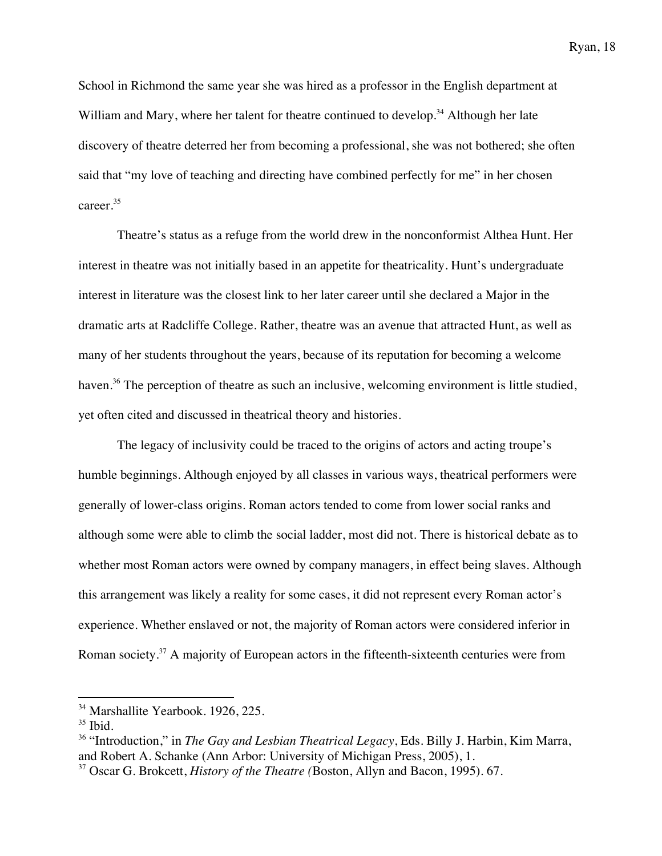School in Richmond the same year she was hired as a professor in the English department at William and Mary, where her talent for theatre continued to develop.<sup>34</sup> Although her late discovery of theatre deterred her from becoming a professional, she was not bothered; she often said that "my love of teaching and directing have combined perfectly for me" in her chosen career.<sup>35</sup>

Theatre's status as a refuge from the world drew in the nonconformist Althea Hunt. Her interest in theatre was not initially based in an appetite for theatricality. Hunt's undergraduate interest in literature was the closest link to her later career until she declared a Major in the dramatic arts at Radcliffe College. Rather, theatre was an avenue that attracted Hunt, as well as many of her students throughout the years, because of its reputation for becoming a welcome haven.<sup>36</sup> The perception of theatre as such an inclusive, welcoming environment is little studied, yet often cited and discussed in theatrical theory and histories.

The legacy of inclusivity could be traced to the origins of actors and acting troupe's humble beginnings. Although enjoyed by all classes in various ways, theatrical performers were generally of lower-class origins. Roman actors tended to come from lower social ranks and although some were able to climb the social ladder, most did not. There is historical debate as to whether most Roman actors were owned by company managers, in effect being slaves. Although this arrangement was likely a reality for some cases, it did not represent every Roman actor's experience. Whether enslaved or not, the majority of Roman actors were considered inferior in Roman society.<sup>37</sup> A majority of European actors in the fifteenth-sixteenth centuries were from

<sup>&</sup>lt;sup>34</sup> Marshallite Yearbook. 1926, 225.

 $35$  Ibid.

<sup>36</sup> "Introduction," in *The Gay and Lesbian Theatrical Legacy*, Eds. Billy J. Harbin, Kim Marra, and Robert A. Schanke (Ann Arbor: University of Michigan Press, 2005), 1.

<sup>37</sup> Oscar G. Brokcett, *History of the Theatre (*Boston, Allyn and Bacon, 1995). 67.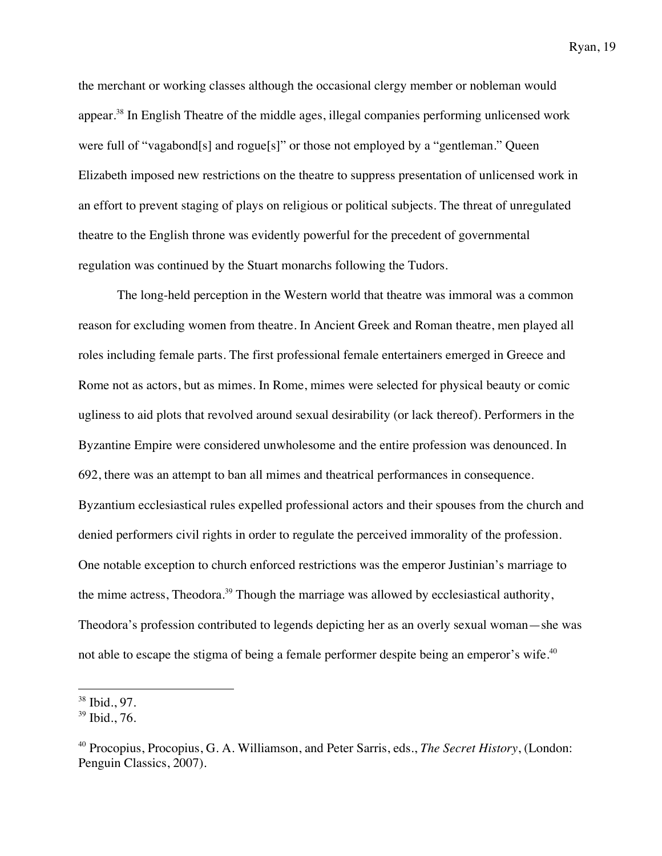the merchant or working classes although the occasional clergy member or nobleman would appear.<sup>38</sup> In English Theatre of the middle ages, illegal companies performing unlicensed work were full of "vagabond[s] and rogue[s]" or those not employed by a "gentleman." Queen Elizabeth imposed new restrictions on the theatre to suppress presentation of unlicensed work in an effort to prevent staging of plays on religious or political subjects. The threat of unregulated theatre to the English throne was evidently powerful for the precedent of governmental regulation was continued by the Stuart monarchs following the Tudors.

The long-held perception in the Western world that theatre was immoral was a common reason for excluding women from theatre. In Ancient Greek and Roman theatre, men played all roles including female parts. The first professional female entertainers emerged in Greece and Rome not as actors, but as mimes. In Rome, mimes were selected for physical beauty or comic ugliness to aid plots that revolved around sexual desirability (or lack thereof). Performers in the Byzantine Empire were considered unwholesome and the entire profession was denounced. In 692, there was an attempt to ban all mimes and theatrical performances in consequence. Byzantium ecclesiastical rules expelled professional actors and their spouses from the church and denied performers civil rights in order to regulate the perceived immorality of the profession. One notable exception to church enforced restrictions was the emperor Justinian's marriage to the mime actress, Theodora.<sup>39</sup> Though the marriage was allowed by ecclesiastical authority, Theodora's profession contributed to legends depicting her as an overly sexual woman—she was not able to escape the stigma of being a female performer despite being an emperor's wife. $^{40}$ 

<sup>38</sup> Ibid., 97.

<sup>39</sup> Ibid., 76.

<sup>40</sup> Procopius, Procopius, G. A. Williamson, and Peter Sarris, eds., *The Secret History*, (London: Penguin Classics, 2007).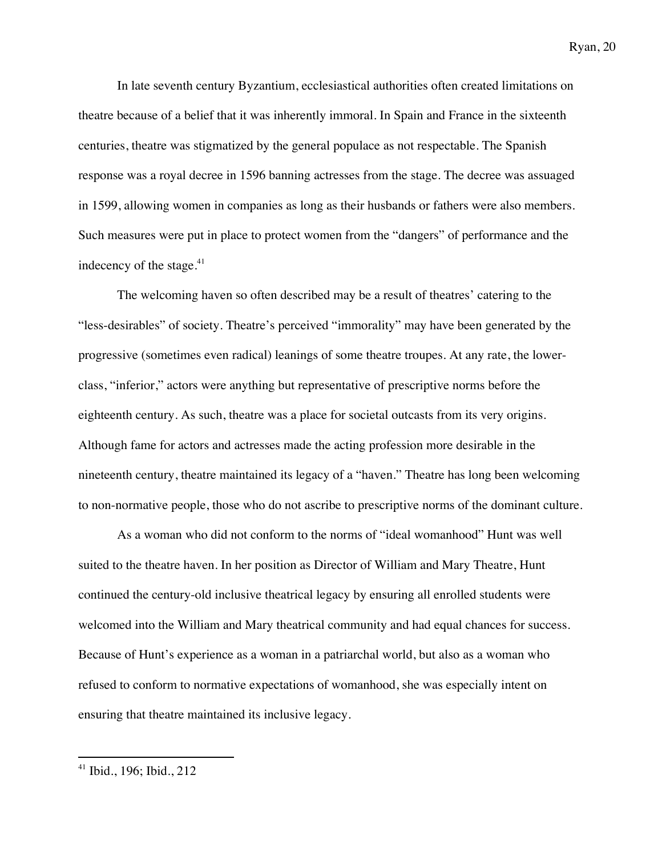In late seventh century Byzantium, ecclesiastical authorities often created limitations on theatre because of a belief that it was inherently immoral. In Spain and France in the sixteenth centuries, theatre was stigmatized by the general populace as not respectable. The Spanish response was a royal decree in 1596 banning actresses from the stage. The decree was assuaged in 1599, allowing women in companies as long as their husbands or fathers were also members. Such measures were put in place to protect women from the "dangers" of performance and the indecency of the stage.<sup>41</sup>

The welcoming haven so often described may be a result of theatres' catering to the "less-desirables" of society. Theatre's perceived "immorality" may have been generated by the progressive (sometimes even radical) leanings of some theatre troupes. At any rate, the lowerclass, "inferior," actors were anything but representative of prescriptive norms before the eighteenth century. As such, theatre was a place for societal outcasts from its very origins. Although fame for actors and actresses made the acting profession more desirable in the nineteenth century, theatre maintained its legacy of a "haven." Theatre has long been welcoming to non-normative people, those who do not ascribe to prescriptive norms of the dominant culture.

As a woman who did not conform to the norms of "ideal womanhood" Hunt was well suited to the theatre haven. In her position as Director of William and Mary Theatre, Hunt continued the century-old inclusive theatrical legacy by ensuring all enrolled students were welcomed into the William and Mary theatrical community and had equal chances for success. Because of Hunt's experience as a woman in a patriarchal world, but also as a woman who refused to conform to normative expectations of womanhood, she was especially intent on ensuring that theatre maintained its inclusive legacy.

<sup>41</sup> Ibid., 196; Ibid., 212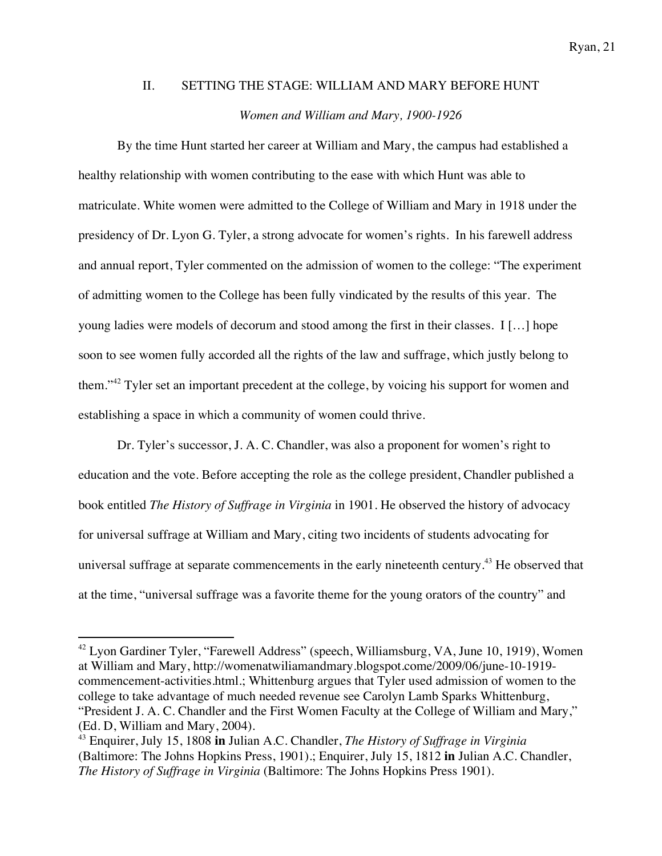# II. SETTING THE STAGE: WILLIAM AND MARY BEFORE HUNT *Women and William and Mary, 1900-1926*

By the time Hunt started her career at William and Mary, the campus had established a healthy relationship with women contributing to the ease with which Hunt was able to matriculate. White women were admitted to the College of William and Mary in 1918 under the presidency of Dr. Lyon G. Tyler, a strong advocate for women's rights. In his farewell address and annual report, Tyler commented on the admission of women to the college: "The experiment of admitting women to the College has been fully vindicated by the results of this year. The young ladies were models of decorum and stood among the first in their classes. I […] hope soon to see women fully accorded all the rights of the law and suffrage, which justly belong to them."<sup>42</sup> Tyler set an important precedent at the college, by voicing his support for women and establishing a space in which a community of women could thrive.

Dr. Tyler's successor, J. A. C. Chandler, was also a proponent for women's right to education and the vote. Before accepting the role as the college president, Chandler published a book entitled *The History of Suffrage in Virginia* in 1901. He observed the history of advocacy for universal suffrage at William and Mary, citing two incidents of students advocating for universal suffrage at separate commencements in the early nineteenth century.<sup>43</sup> He observed that at the time, "universal suffrage was a favorite theme for the young orators of the country" and

<sup>&</sup>lt;sup>42</sup> Lyon Gardiner Tyler, "Farewell Address" (speech, Williamsburg, VA, June 10, 1919), Women at William and Mary, http://womenatwiliamandmary.blogspot.come/2009/06/june-10-1919 commencement-activities.html.; Whittenburg argues that Tyler used admission of women to the college to take advantage of much needed revenue see Carolyn Lamb Sparks Whittenburg, "President J. A. C. Chandler and the First Women Faculty at the College of William and Mary," (Ed. D, William and Mary, 2004).

<sup>43</sup> Enquirer, July 15, 1808 **in** Julian A.C. Chandler, *The History of Suffrage in Virginia*  (Baltimore: The Johns Hopkins Press, 1901).; Enquirer, July 15, 1812 **in** Julian A.C. Chandler, *The History of Suffrage in Virginia* (Baltimore: The Johns Hopkins Press 1901).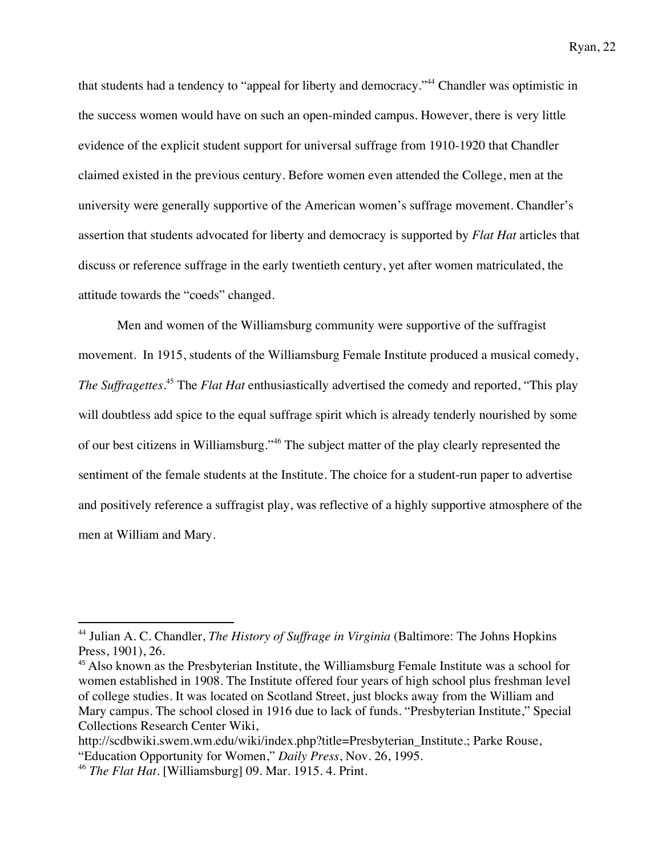that students had a tendency to "appeal for liberty and democracy."44 Chandler was optimistic in the success women would have on such an open-minded campus. However, there is very little evidence of the explicit student support for universal suffrage from 1910-1920 that Chandler claimed existed in the previous century. Before women even attended the College, men at the university were generally supportive of the American women's suffrage movement. Chandler's assertion that students advocated for liberty and democracy is supported by *Flat Hat* articles that discuss or reference suffrage in the early twentieth century, yet after women matriculated, the attitude towards the "coeds" changed.

Men and women of the Williamsburg community were supportive of the suffragist movement. In 1915, students of the Williamsburg Female Institute produced a musical comedy, *The Suffragettes*. <sup>45</sup> The *Flat Hat* enthusiastically advertised the comedy and reported, "This play will doubtless add spice to the equal suffrage spirit which is already tenderly nourished by some of our best citizens in Williamsburg."<sup>46</sup> The subject matter of the play clearly represented the sentiment of the female students at the Institute. The choice for a student-run paper to advertise and positively reference a suffragist play, was reflective of a highly supportive atmosphere of the men at William and Mary.

<sup>&</sup>lt;sup>44</sup> Julian A. C. Chandler, *The History of Suffrage in Virginia* (Baltimore: The Johns Hopkins Press, 1901), 26.

<sup>&</sup>lt;sup>45</sup> Also known as the Presbyterian Institute, the Williamsburg Female Institute was a school for women established in 1908. The Institute offered four years of high school plus freshman level of college studies. It was located on Scotland Street, just blocks away from the William and Mary campus. The school closed in 1916 due to lack of funds. "Presbyterian Institute," Special Collections Research Center Wiki,

http://scdbwiki.swem.wm.edu/wiki/index.php?title=Presbyterian\_Institute.; Parke Rouse, "Education Opportunity for Women," *Daily Press*, Nov. 26, 1995.

<sup>46</sup> *The Flat Hat*. [Williamsburg] 09. Mar. 1915. 4. Print.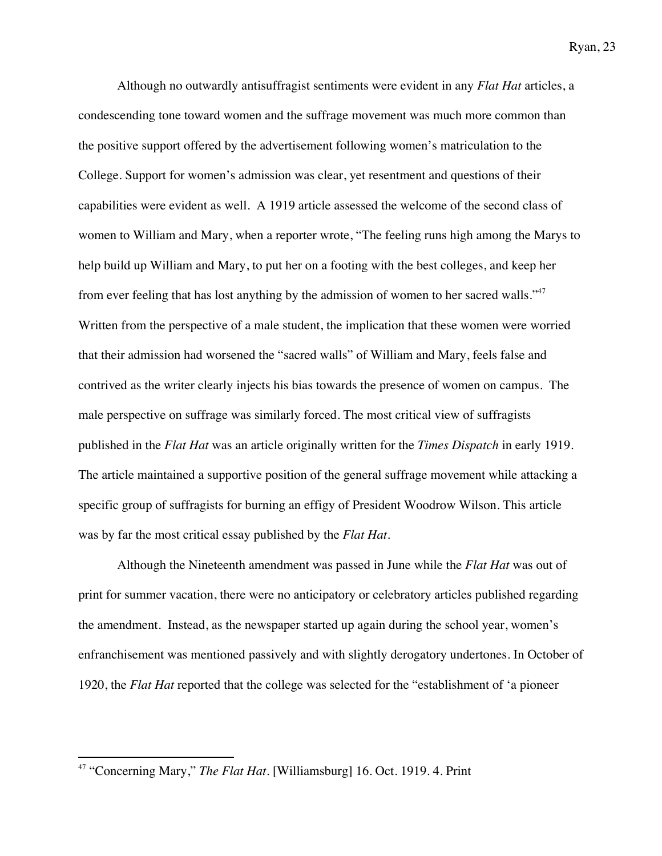Although no outwardly antisuffragist sentiments were evident in any *Flat Hat* articles, a condescending tone toward women and the suffrage movement was much more common than the positive support offered by the advertisement following women's matriculation to the College. Support for women's admission was clear, yet resentment and questions of their capabilities were evident as well. A 1919 article assessed the welcome of the second class of women to William and Mary, when a reporter wrote, "The feeling runs high among the Marys to help build up William and Mary, to put her on a footing with the best colleges, and keep her from ever feeling that has lost anything by the admission of women to her sacred walls."<sup>47</sup> Written from the perspective of a male student, the implication that these women were worried that their admission had worsened the "sacred walls" of William and Mary, feels false and contrived as the writer clearly injects his bias towards the presence of women on campus. The male perspective on suffrage was similarly forced. The most critical view of suffragists published in the *Flat Hat* was an article originally written for the *Times Dispatch* in early 1919. The article maintained a supportive position of the general suffrage movement while attacking a specific group of suffragists for burning an effigy of President Woodrow Wilson. This article was by far the most critical essay published by the *Flat Hat*.

Although the Nineteenth amendment was passed in June while the *Flat Hat* was out of print for summer vacation, there were no anticipatory or celebratory articles published regarding the amendment. Instead, as the newspaper started up again during the school year, women's enfranchisement was mentioned passively and with slightly derogatory undertones. In October of 1920, the *Flat Hat* reported that the college was selected for the "establishment of 'a pioneer

<sup>47</sup> "Concerning Mary," *The Flat Hat*. [Williamsburg] 16. Oct. 1919. 4. Print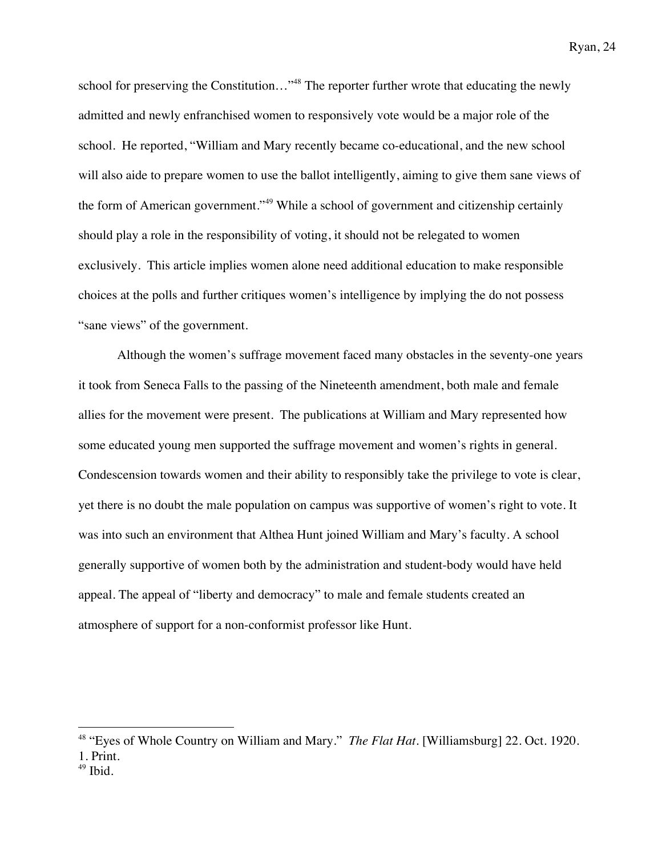school for preserving the Constitution..."<sup>48</sup> The reporter further wrote that educating the newly admitted and newly enfranchised women to responsively vote would be a major role of the school. He reported, "William and Mary recently became co-educational, and the new school will also aide to prepare women to use the ballot intelligently, aiming to give them sane views of the form of American government."<sup>49</sup> While a school of government and citizenship certainly should play a role in the responsibility of voting, it should not be relegated to women exclusively. This article implies women alone need additional education to make responsible choices at the polls and further critiques women's intelligence by implying the do not possess "sane views" of the government.

Although the women's suffrage movement faced many obstacles in the seventy-one years it took from Seneca Falls to the passing of the Nineteenth amendment, both male and female allies for the movement were present. The publications at William and Mary represented how some educated young men supported the suffrage movement and women's rights in general. Condescension towards women and their ability to responsibly take the privilege to vote is clear, yet there is no doubt the male population on campus was supportive of women's right to vote. It was into such an environment that Althea Hunt joined William and Mary's faculty. A school generally supportive of women both by the administration and student-body would have held appeal. The appeal of "liberty and democracy" to male and female students created an atmosphere of support for a non-conformist professor like Hunt.

<sup>48</sup> "Eyes of Whole Country on William and Mary." *The Flat Hat*. [Williamsburg] 22. Oct. 1920. 1. Print.

 $49$  Ibid.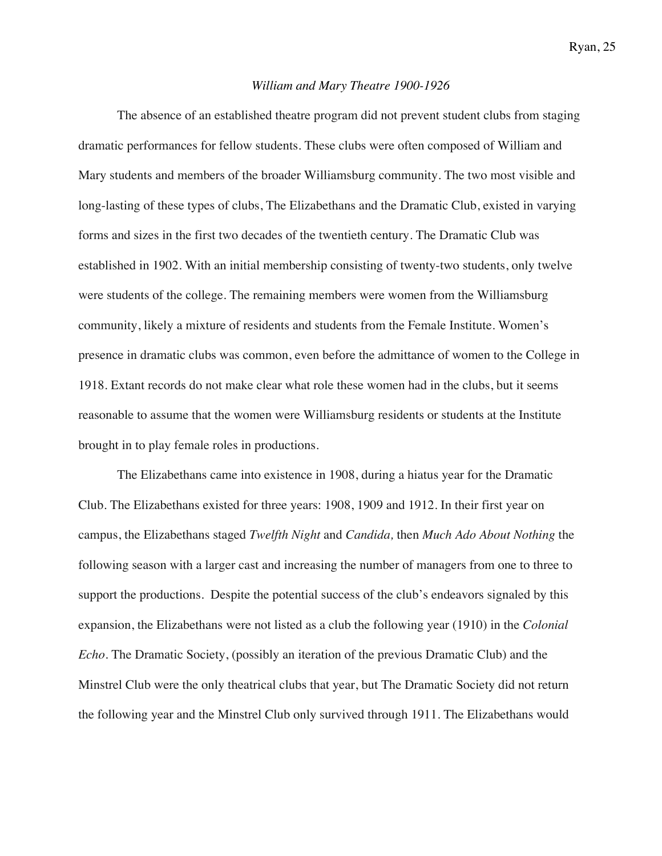#### *William and Mary Theatre 1900-1926*

The absence of an established theatre program did not prevent student clubs from staging dramatic performances for fellow students. These clubs were often composed of William and Mary students and members of the broader Williamsburg community. The two most visible and long-lasting of these types of clubs, The Elizabethans and the Dramatic Club, existed in varying forms and sizes in the first two decades of the twentieth century. The Dramatic Club was established in 1902. With an initial membership consisting of twenty-two students, only twelve were students of the college. The remaining members were women from the Williamsburg community, likely a mixture of residents and students from the Female Institute. Women's presence in dramatic clubs was common, even before the admittance of women to the College in 1918. Extant records do not make clear what role these women had in the clubs, but it seems reasonable to assume that the women were Williamsburg residents or students at the Institute brought in to play female roles in productions.

The Elizabethans came into existence in 1908, during a hiatus year for the Dramatic Club. The Elizabethans existed for three years: 1908, 1909 and 1912. In their first year on campus, the Elizabethans staged *Twelfth Night* and *Candida,* then *Much Ado About Nothing* the following season with a larger cast and increasing the number of managers from one to three to support the productions. Despite the potential success of the club's endeavors signaled by this expansion, the Elizabethans were not listed as a club the following year (1910) in the *Colonial Echo*. The Dramatic Society, (possibly an iteration of the previous Dramatic Club) and the Minstrel Club were the only theatrical clubs that year, but The Dramatic Society did not return the following year and the Minstrel Club only survived through 1911. The Elizabethans would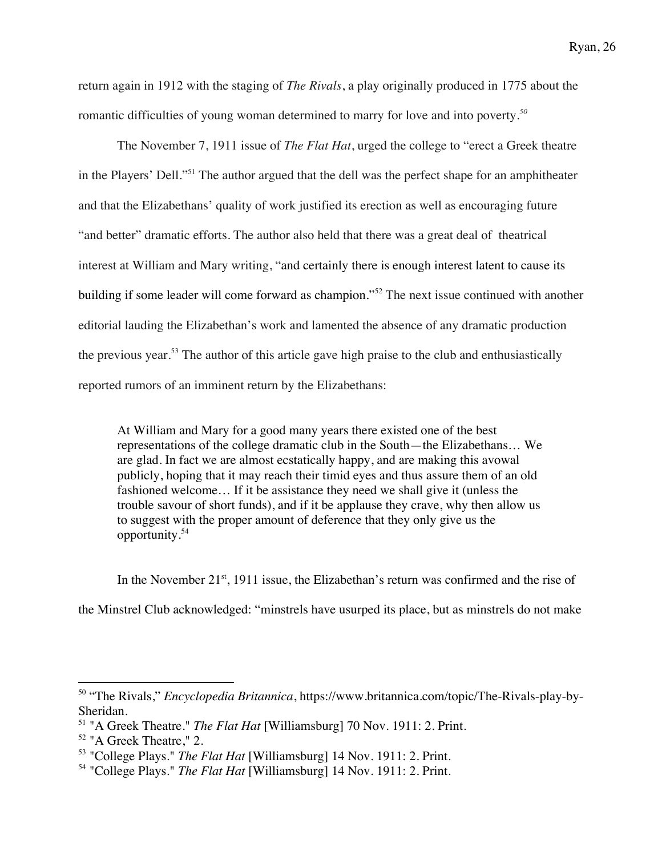return again in 1912 with the staging of *The Rivals*, a play originally produced in 1775 about the romantic difficulties of young woman determined to marry for love and into poverty*. 50*

The November 7, 1911 issue of *The Flat Hat*, urged the college to "erect a Greek theatre in the Players' Dell."51 The author argued that the dell was the perfect shape for an amphitheater and that the Elizabethans' quality of work justified its erection as well as encouraging future "and better" dramatic efforts. The author also held that there was a great deal of theatrical interest at William and Mary writing, "and certainly there is enough interest latent to cause its building if some leader will come forward as champion."<sup>52</sup> The next issue continued with another editorial lauding the Elizabethan's work and lamented the absence of any dramatic production the previous year.<sup>53</sup> The author of this article gave high praise to the club and enthusiastically reported rumors of an imminent return by the Elizabethans:

At William and Mary for a good many years there existed one of the best representations of the college dramatic club in the South—the Elizabethans… We are glad. In fact we are almost ecstatically happy, and are making this avowal publicly, hoping that it may reach their timid eyes and thus assure them of an old fashioned welcome… If it be assistance they need we shall give it (unless the trouble savour of short funds), and if it be applause they crave, why then allow us to suggest with the proper amount of deference that they only give us the opportunity.<sup>54</sup>

In the November  $21^{st}$ , 1911 issue, the Elizabethan's return was confirmed and the rise of the Minstrel Club acknowledged: "minstrels have usurped its place, but as minstrels do not make

<sup>50</sup> "The Rivals," *Encyclopedia Britannica*, https://www.britannica.com/topic/The-Rivals-play-by-Sheridan.<br><sup>51</sup> "A Greek Theatre." *The Flat Hat* [Williamsburg] 70 Nov. 1911: 2. Print.

<sup>&</sup>lt;sup>52</sup> "A Greek Theatre," 2.<br><sup>53</sup> "College Plays." *The Flat Hat* [Williamsburg] 14 Nov. 1911: 2. Print.

<sup>54</sup> "College Plays." *The Flat Hat* [Williamsburg] 14 Nov. 1911: 2. Print.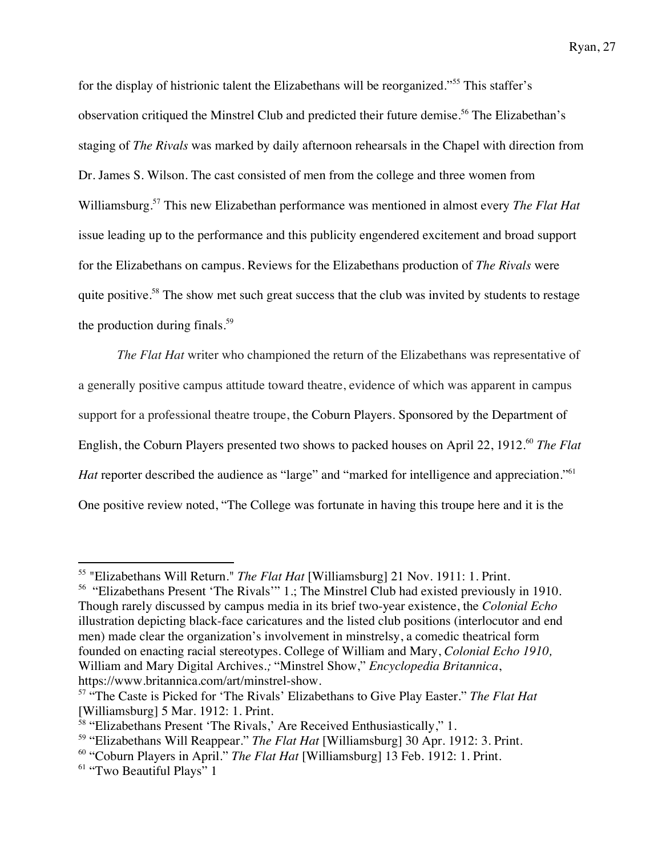for the display of histrionic talent the Elizabethans will be reorganized."<sup>55</sup> This staffer's observation critiqued the Minstrel Club and predicted their future demise.<sup>56</sup> The Elizabethan's staging of *The Rivals* was marked by daily afternoon rehearsals in the Chapel with direction from Dr. James S. Wilson. The cast consisted of men from the college and three women from Williamsburg.57 This new Elizabethan performance was mentioned in almost every *The Flat Hat*  issue leading up to the performance and this publicity engendered excitement and broad support for the Elizabethans on campus. Reviews for the Elizabethans production of *The Rivals* were quite positive.<sup>58</sup> The show met such great success that the club was invited by students to restage the production during finals. $59$ 

*The Flat Hat* writer who championed the return of the Elizabethans was representative of a generally positive campus attitude toward theatre, evidence of which was apparent in campus support for a professional theatre troupe, the Coburn Players. Sponsored by the Department of English, the Coburn Players presented two shows to packed houses on April 22, 1912.<sup>60</sup> *The Flat Hat* reporter described the audience as "large" and "marked for intelligence and appreciation."<sup>61</sup> One positive review noted, "The College was fortunate in having this troupe here and it is the

<sup>55</sup> "Elizabethans Will Return." *The Flat Hat* [Williamsburg] 21 Nov. 1911: 1. Print.

<sup>56</sup> "Elizabethans Present 'The Rivals'" 1.; The Minstrel Club had existed previously in 1910. Though rarely discussed by campus media in its brief two-year existence, the *Colonial Echo*  illustration depicting black-face caricatures and the listed club positions (interlocutor and end men) made clear the organization's involvement in minstrelsy, a comedic theatrical form founded on enacting racial stereotypes. College of William and Mary, *Colonial Echo 1910,* William and Mary Digital Archives*.;* "Minstrel Show," *Encyclopedia Britannica*, https://www.britannica.com/art/minstrel-show.

<sup>57</sup> "The Caste is Picked for 'The Rivals' Elizabethans to Give Play Easter." *The Flat Hat* [Williamsburg] 5 Mar. 1912: 1. Print.

<sup>&</sup>lt;sup>58</sup> "Elizabethans Present 'The Rivals,' Are Received Enthusiastically," 1.

<sup>59</sup> "Elizabethans Will Reappear." *The Flat Hat* [Williamsburg] 30 Apr. 1912: 3. Print.

<sup>60</sup> "Coburn Players in April." *The Flat Hat* [Williamsburg] 13 Feb. 1912: 1. Print.

<sup>&</sup>lt;sup>61</sup> "Two Beautiful Plays" 1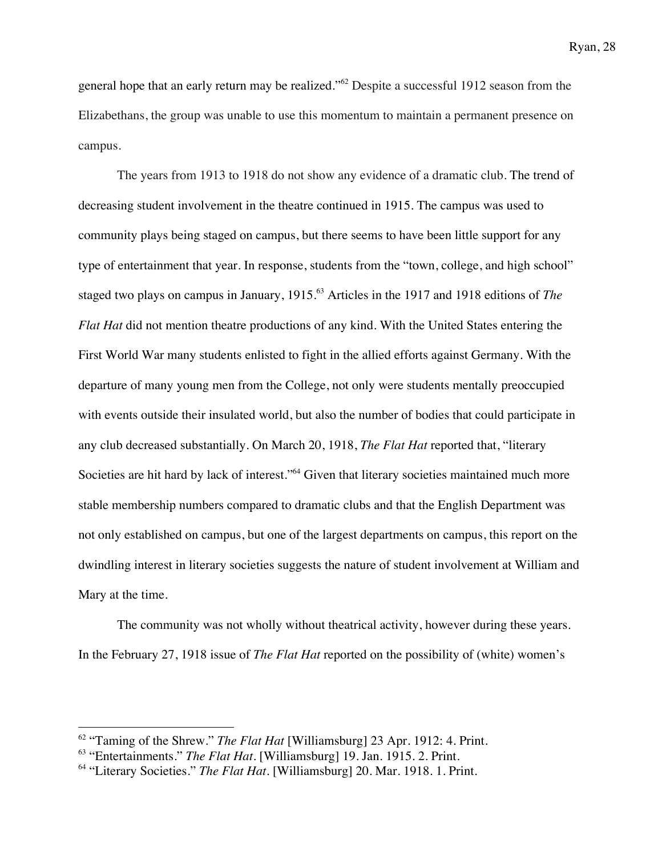general hope that an early return may be realized."<sup>62</sup> Despite a successful 1912 season from the Elizabethans, the group was unable to use this momentum to maintain a permanent presence on campus.

The years from 1913 to 1918 do not show any evidence of a dramatic club. The trend of decreasing student involvement in the theatre continued in 1915. The campus was used to community plays being staged on campus, but there seems to have been little support for any type of entertainment that year. In response, students from the "town, college, and high school" staged two plays on campus in January, 1915. <sup>63</sup> Articles in the 1917 and 1918 editions of *The Flat Hat* did not mention theatre productions of any kind. With the United States entering the First World War many students enlisted to fight in the allied efforts against Germany. With the departure of many young men from the College, not only were students mentally preoccupied with events outside their insulated world, but also the number of bodies that could participate in any club decreased substantially. On March 20, 1918, *The Flat Hat* reported that, "literary Societies are hit hard by lack of interest."<sup>64</sup> Given that literary societies maintained much more stable membership numbers compared to dramatic clubs and that the English Department was not only established on campus, but one of the largest departments on campus, this report on the dwindling interest in literary societies suggests the nature of student involvement at William and Mary at the time.

The community was not wholly without theatrical activity, however during these years. In the February 27, 1918 issue of *The Flat Hat* reported on the possibility of (white) women's

<sup>62</sup> "Taming of the Shrew." *The Flat Hat* [Williamsburg] 23 Apr. 1912: 4. Print.

<sup>63</sup> "Entertainments." *The Flat Hat.* [Williamsburg] 19. Jan. 1915. 2. Print.

<sup>&</sup>lt;sup>64</sup> "Literary Societies." *The Flat Hat*. [Williamsburg] 20. Mar. 1918. 1. Print.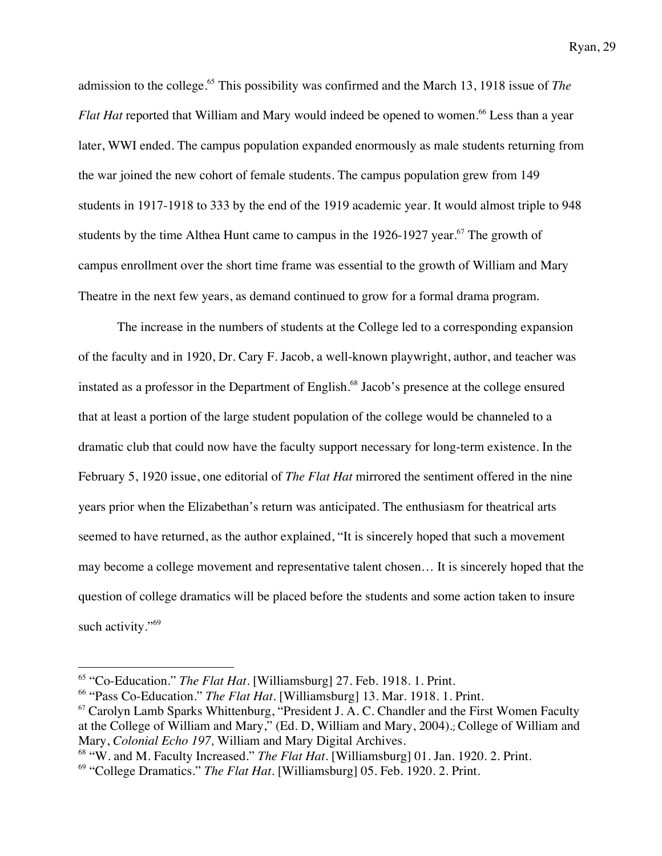admission to the college.<sup>65</sup> This possibility was confirmed and the March 13, 1918 issue of *The Flat Hat* reported that William and Mary would indeed be opened to women.<sup>66</sup> Less than a year later, WWI ended. The campus population expanded enormously as male students returning from the war joined the new cohort of female students. The campus population grew from 149 students in 1917-1918 to 333 by the end of the 1919 academic year. It would almost triple to 948 students by the time Althea Hunt came to campus in the  $1926-1927$  year.<sup>67</sup> The growth of campus enrollment over the short time frame was essential to the growth of William and Mary Theatre in the next few years, as demand continued to grow for a formal drama program.

The increase in the numbers of students at the College led to a corresponding expansion of the faculty and in 1920, Dr. Cary F. Jacob, a well-known playwright, author, and teacher was instated as a professor in the Department of English.<sup>68</sup> Jacob's presence at the college ensured that at least a portion of the large student population of the college would be channeled to a dramatic club that could now have the faculty support necessary for long-term existence. In the February 5, 1920 issue, one editorial of *The Flat Hat* mirrored the sentiment offered in the nine years prior when the Elizabethan's return was anticipated. The enthusiasm for theatrical arts seemed to have returned, as the author explained, "It is sincerely hoped that such a movement may become a college movement and representative talent chosen… It is sincerely hoped that the question of college dramatics will be placed before the students and some action taken to insure such activity."<sup>69</sup>

<sup>65</sup> "Co-Education." *The Flat Hat.* [Williamsburg] 27. Feb. 1918. 1. Print.

<sup>&</sup>lt;sup>66</sup> "Pass Co-Education." *The Flat Hat*. [Williamsburg] 13. Mar. 1918. 1. Print.

 $67$  Carolyn Lamb Sparks Whittenburg, "President J. A. C. Chandler and the First Women Faculty at the College of William and Mary," (Ed. D, William and Mary, 2004).; College of William and Mary, *Colonial Echo 197,* William and Mary Digital Archives.

<sup>&</sup>lt;sup>68</sup> "W. and M. Faculty Increased." *The Flat Hat*. [Williamsburg] 01. Jan. 1920. 2. Print.

<sup>&</sup>lt;sup>69</sup> "College Dramatics." *The Flat Hat*. [Williamsburg] 05. Feb. 1920. 2. Print.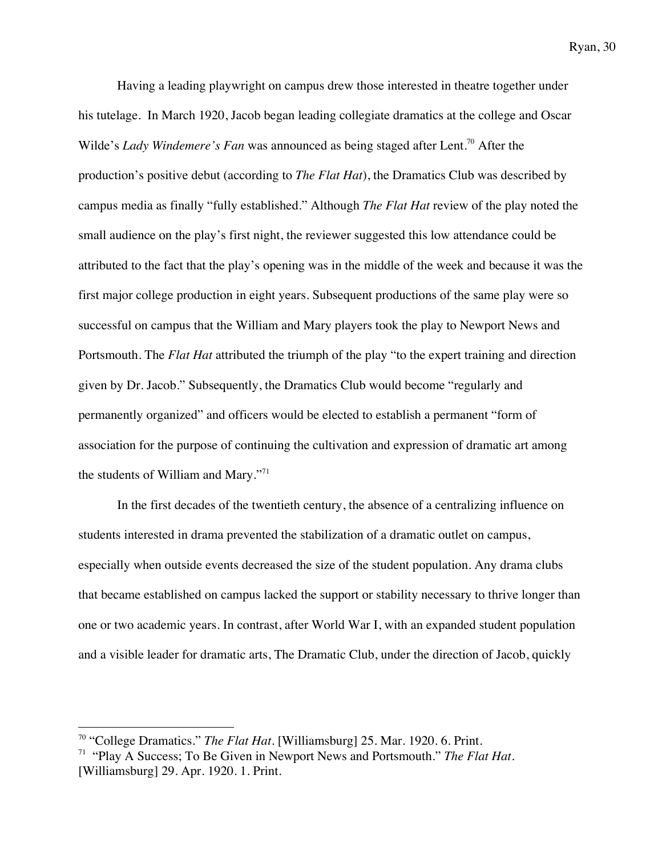Having a leading playwright on campus drew those interested in theatre together under his tutelage. In March 1920, Jacob began leading collegiate dramatics at the college and Oscar Wilde's *Lady Windemere's Fan* was announced as being staged after Lent.<sup>70</sup> After the production's positive debut (according to *The Flat Hat*), the Dramatics Club was described by campus media as finally "fully established." Although *The Flat Hat* review of the play noted the small audience on the play's first night, the reviewer suggested this low attendance could be attributed to the fact that the play's opening was in the middle of the week and because it was the first major college production in eight years. Subsequent productions of the same play were so successful on campus that the William and Mary players took the play to Newport News and Portsmouth. The *Flat Hat* attributed the triumph of the play "to the expert training and direction given by Dr. Jacob." Subsequently, the Dramatics Club would become "regularly and permanently organized" and officers would be elected to establish a permanent "form of association for the purpose of continuing the cultivation and expression of dramatic art among the students of William and Mary."71

In the first decades of the twentieth century, the absence of a centralizing influence on students interested in drama prevented the stabilization of a dramatic outlet on campus, especially when outside events decreased the size of the student population. Any drama clubs that became established on campus lacked the support or stability necessary to thrive longer than one or two academic years. In contrast, after World War I, with an expanded student population and a visible leader for dramatic arts, The Dramatic Club, under the direction of Jacob, quickly

<sup>70</sup> "College Dramatics." *The Flat Hat.* [Williamsburg] 25. Mar. 1920. 6. Print.

<sup>71</sup> "Play A Success; To Be Given in Newport News and Portsmouth." *The Flat Hat.*  [Williamsburg] 29. Apr. 1920. 1. Print.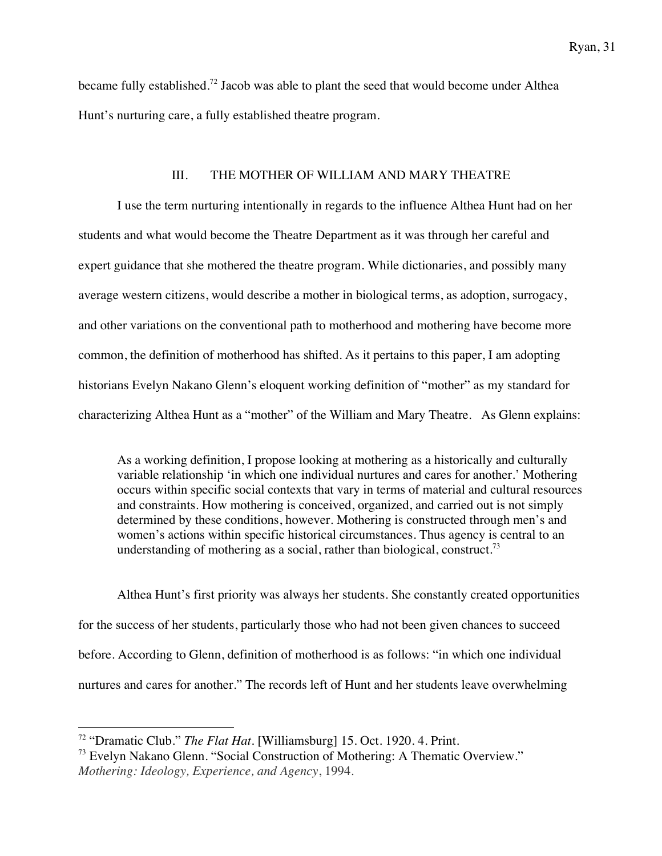became fully established.<sup>72</sup> Jacob was able to plant the seed that would become under Althea Hunt's nurturing care, a fully established theatre program.

### III. THE MOTHER OF WILLIAM AND MARY THEATRE

I use the term nurturing intentionally in regards to the influence Althea Hunt had on her students and what would become the Theatre Department as it was through her careful and expert guidance that she mothered the theatre program. While dictionaries, and possibly many average western citizens, would describe a mother in biological terms, as adoption, surrogacy, and other variations on the conventional path to motherhood and mothering have become more common, the definition of motherhood has shifted. As it pertains to this paper, I am adopting historians Evelyn Nakano Glenn's eloquent working definition of "mother" as my standard for characterizing Althea Hunt as a "mother" of the William and Mary Theatre. As Glenn explains:

As a working definition, I propose looking at mothering as a historically and culturally variable relationship 'in which one individual nurtures and cares for another.' Mothering occurs within specific social contexts that vary in terms of material and cultural resources and constraints. How mothering is conceived, organized, and carried out is not simply determined by these conditions, however. Mothering is constructed through men's and women's actions within specific historical circumstances. Thus agency is central to an understanding of mothering as a social, rather than biological, construct.<sup>73</sup>

Althea Hunt's first priority was always her students. She constantly created opportunities for the success of her students, particularly those who had not been given chances to succeed before. According to Glenn, definition of motherhood is as follows: "in which one individual nurtures and cares for another." The records left of Hunt and her students leave overwhelming

<sup>72</sup> "Dramatic Club." *The Flat Hat.* [Williamsburg] 15. Oct. 1920. 4. Print.

<sup>73</sup> Evelyn Nakano Glenn. "Social Construction of Mothering: A Thematic Overview." *Mothering: Ideology, Experience, and Agency*, 1994.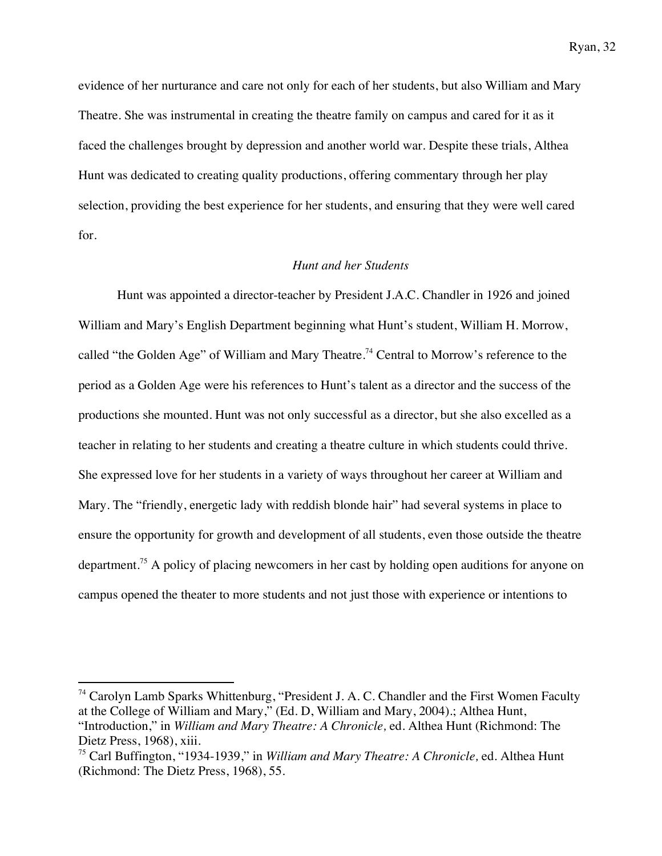evidence of her nurturance and care not only for each of her students, but also William and Mary Theatre. She was instrumental in creating the theatre family on campus and cared for it as it faced the challenges brought by depression and another world war. Despite these trials, Althea Hunt was dedicated to creating quality productions, offering commentary through her play selection, providing the best experience for her students, and ensuring that they were well cared for.

### *Hunt and her Students*

Hunt was appointed a director-teacher by President J.A.C. Chandler in 1926 and joined William and Mary's English Department beginning what Hunt's student, William H. Morrow, called "the Golden Age" of William and Mary Theatre.<sup>74</sup> Central to Morrow's reference to the period as a Golden Age were his references to Hunt's talent as a director and the success of the productions she mounted. Hunt was not only successful as a director, but she also excelled as a teacher in relating to her students and creating a theatre culture in which students could thrive. She expressed love for her students in a variety of ways throughout her career at William and Mary. The "friendly, energetic lady with reddish blonde hair" had several systems in place to ensure the opportunity for growth and development of all students, even those outside the theatre department.75 A policy of placing newcomers in her cast by holding open auditions for anyone on campus opened the theater to more students and not just those with experience or intentions to

 $74$  Carolyn Lamb Sparks Whittenburg, "President J. A. C. Chandler and the First Women Faculty at the College of William and Mary," (Ed. D, William and Mary, 2004).; Althea Hunt, "Introduction," in *William and Mary Theatre: A Chronicle,* ed. Althea Hunt (Richmond: The Dietz Press, 1968), xiii.

<sup>75</sup> Carl Buffington, "1934-1939," in *William and Mary Theatre: A Chronicle,* ed. Althea Hunt (Richmond: The Dietz Press, 1968), 55.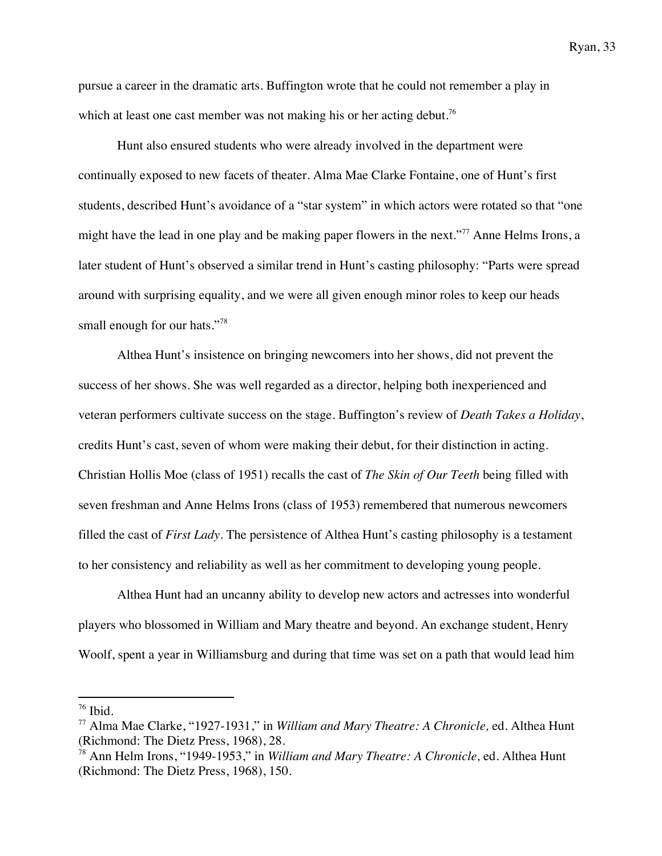pursue a career in the dramatic arts. Buffington wrote that he could not remember a play in which at least one cast member was not making his or her acting debut.<sup>76</sup>

Hunt also ensured students who were already involved in the department were continually exposed to new facets of theater. Alma Mae Clarke Fontaine, one of Hunt's first students, described Hunt's avoidance of a "star system" in which actors were rotated so that "one might have the lead in one play and be making paper flowers in the next."<sup>77</sup> Anne Helms Irons, a later student of Hunt's observed a similar trend in Hunt's casting philosophy: "Parts were spread around with surprising equality, and we were all given enough minor roles to keep our heads small enough for our hats."<sup>78</sup>

Althea Hunt's insistence on bringing newcomers into her shows, did not prevent the success of her shows. She was well regarded as a director, helping both inexperienced and veteran performers cultivate success on the stage. Buffington's review of *Death Takes a Holiday*, credits Hunt's cast, seven of whom were making their debut, for their distinction in acting. Christian Hollis Moe (class of 1951) recalls the cast of *The Skin of Our Teeth* being filled with seven freshman and Anne Helms Irons (class of 1953) remembered that numerous newcomers filled the cast of *First Lady*. The persistence of Althea Hunt's casting philosophy is a testament to her consistency and reliability as well as her commitment to developing young people.

Althea Hunt had an uncanny ability to develop new actors and actresses into wonderful players who blossomed in William and Mary theatre and beyond. An exchange student, Henry Woolf, spent a year in Williamsburg and during that time was set on a path that would lead him

 $76$  Ibid.

<sup>77</sup> Alma Mae Clarke, "1927-1931," in *William and Mary Theatre: A Chronicle,* ed. Althea Hunt (Richmond: The Dietz Press, 1968), 28.

<sup>78</sup> Ann Helm Irons, "1949-1953," in *William and Mary Theatre: A Chronicle,* ed. Althea Hunt (Richmond: The Dietz Press, 1968), 150.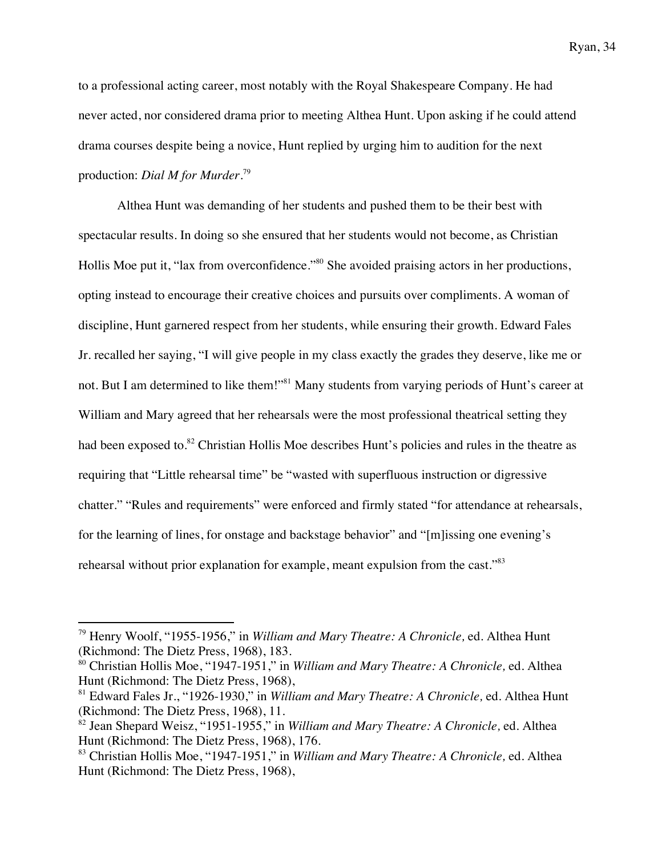to a professional acting career, most notably with the Royal Shakespeare Company. He had never acted, nor considered drama prior to meeting Althea Hunt. Upon asking if he could attend drama courses despite being a novice, Hunt replied by urging him to audition for the next production: *Dial M for Murder*. 79

Althea Hunt was demanding of her students and pushed them to be their best with spectacular results. In doing so she ensured that her students would not become, as Christian Hollis Moe put it, "lax from overconfidence."<sup>80</sup> She avoided praising actors in her productions, opting instead to encourage their creative choices and pursuits over compliments. A woman of discipline, Hunt garnered respect from her students, while ensuring their growth. Edward Fales Jr. recalled her saying, "I will give people in my class exactly the grades they deserve, like me or not. But I am determined to like them!"<sup>81</sup> Many students from varying periods of Hunt's career at William and Mary agreed that her rehearsals were the most professional theatrical setting they had been exposed to.<sup>82</sup> Christian Hollis Moe describes Hunt's policies and rules in the theatre as requiring that "Little rehearsal time" be "wasted with superfluous instruction or digressive chatter." "Rules and requirements" were enforced and firmly stated "for attendance at rehearsals, for the learning of lines, for onstage and backstage behavior" and "[m]issing one evening's rehearsal without prior explanation for example, meant expulsion from the cast."<sup>83</sup>

<sup>79</sup> Henry Woolf, "1955-1956," in *William and Mary Theatre: A Chronicle,* ed. Althea Hunt (Richmond: The Dietz Press, 1968), 183.

<sup>80</sup> Christian Hollis Moe, "1947-1951," in *William and Mary Theatre: A Chronicle,* ed. Althea Hunt (Richmond: The Dietz Press, 1968),

<sup>81</sup> Edward Fales Jr., "1926-1930," in *William and Mary Theatre: A Chronicle,* ed. Althea Hunt (Richmond: The Dietz Press, 1968), 11.

<sup>82</sup> Jean Shepard Weisz, "1951-1955," in *William and Mary Theatre: A Chronicle,* ed. Althea Hunt (Richmond: The Dietz Press, 1968), 176.

<sup>83</sup> Christian Hollis Moe, "1947-1951," in *William and Mary Theatre: A Chronicle,* ed. Althea Hunt (Richmond: The Dietz Press, 1968),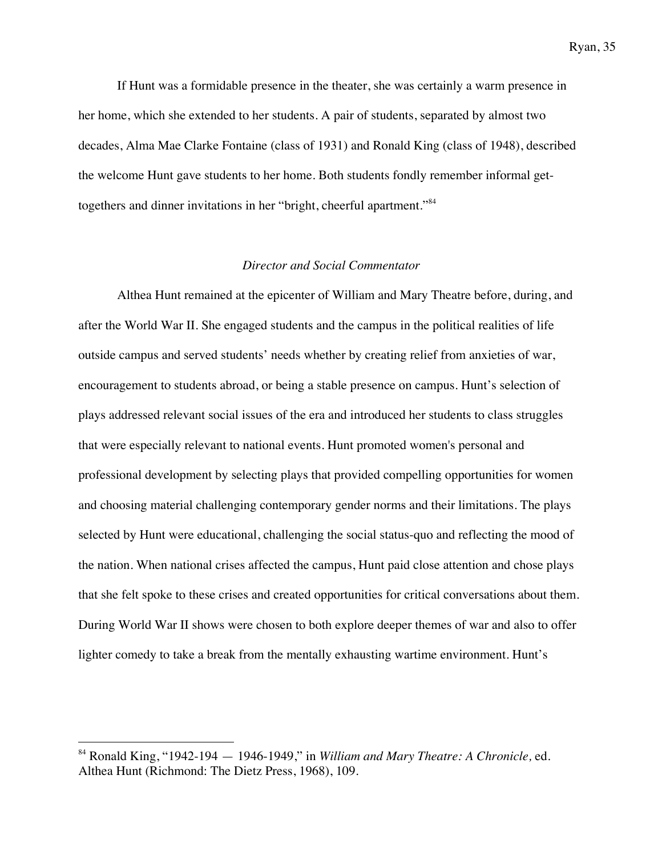If Hunt was a formidable presence in the theater, she was certainly a warm presence in her home, which she extended to her students. A pair of students, separated by almost two decades, Alma Mae Clarke Fontaine (class of 1931) and Ronald King (class of 1948), described the welcome Hunt gave students to her home. Both students fondly remember informal gettogethers and dinner invitations in her "bright, cheerful apartment."<sup>84</sup>

### *Director and Social Commentator*

Althea Hunt remained at the epicenter of William and Mary Theatre before, during, and after the World War II. She engaged students and the campus in the political realities of life outside campus and served students' needs whether by creating relief from anxieties of war, encouragement to students abroad, or being a stable presence on campus. Hunt's selection of plays addressed relevant social issues of the era and introduced her students to class struggles that were especially relevant to national events. Hunt promoted women's personal and professional development by selecting plays that provided compelling opportunities for women and choosing material challenging contemporary gender norms and their limitations. The plays selected by Hunt were educational, challenging the social status-quo and reflecting the mood of the nation. When national crises affected the campus, Hunt paid close attention and chose plays that she felt spoke to these crises and created opportunities for critical conversations about them. During World War II shows were chosen to both explore deeper themes of war and also to offer lighter comedy to take a break from the mentally exhausting wartime environment. Hunt's

<sup>84</sup> Ronald King, "1942-194 — 1946-1949," in *William and Mary Theatre: A Chronicle,* ed. Althea Hunt (Richmond: The Dietz Press, 1968), 109.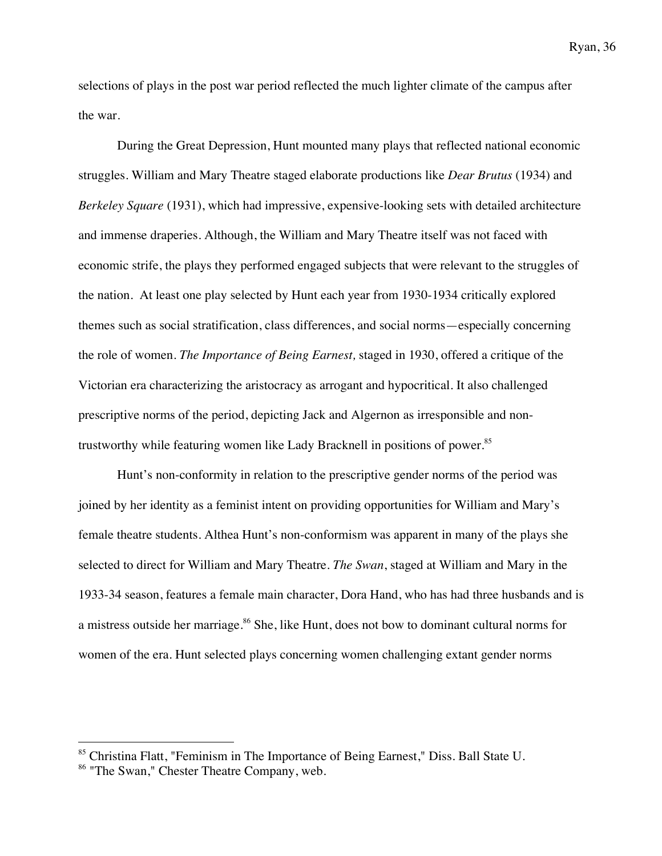selections of plays in the post war period reflected the much lighter climate of the campus after the war.

During the Great Depression, Hunt mounted many plays that reflected national economic struggles. William and Mary Theatre staged elaborate productions like *Dear Brutus* (1934) and *Berkeley Square* (1931), which had impressive, expensive-looking sets with detailed architecture and immense draperies. Although, the William and Mary Theatre itself was not faced with economic strife, the plays they performed engaged subjects that were relevant to the struggles of the nation. At least one play selected by Hunt each year from 1930-1934 critically explored themes such as social stratification, class differences, and social norms—especially concerning the role of women. *The Importance of Being Earnest,* staged in 1930, offered a critique of the Victorian era characterizing the aristocracy as arrogant and hypocritical. It also challenged prescriptive norms of the period, depicting Jack and Algernon as irresponsible and nontrustworthy while featuring women like Lady Bracknell in positions of power.<sup>85</sup>

Hunt's non-conformity in relation to the prescriptive gender norms of the period was joined by her identity as a feminist intent on providing opportunities for William and Mary's female theatre students. Althea Hunt's non-conformism was apparent in many of the plays she selected to direct for William and Mary Theatre. *The Swan*, staged at William and Mary in the 1933-34 season, features a female main character, Dora Hand, who has had three husbands and is a mistress outside her marriage. <sup>86</sup> She, like Hunt, does not bow to dominant cultural norms for women of the era. Hunt selected plays concerning women challenging extant gender norms

<sup>&</sup>lt;sup>85</sup> Christina Flatt, "Feminism in The Importance of Being Earnest," Diss. Ball State U.

<sup>&</sup>lt;sup>86</sup> "The Swan," Chester Theatre Company, web.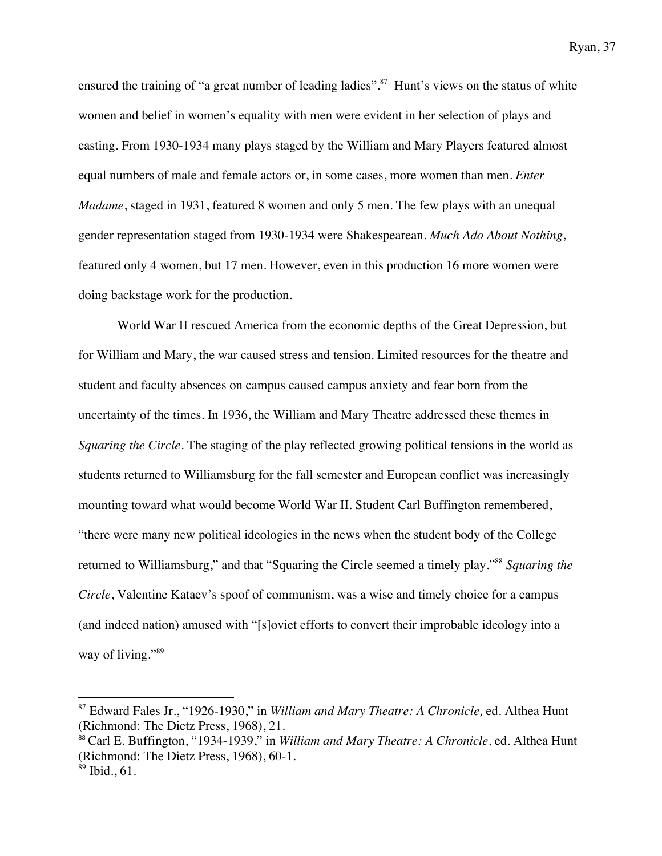ensured the training of "a great number of leading ladies".<sup>87</sup> Hunt's views on the status of white women and belief in women's equality with men were evident in her selection of plays and casting. From 1930-1934 many plays staged by the William and Mary Players featured almost equal numbers of male and female actors or, in some cases, more women than men. *Enter Madame*, staged in 1931, featured 8 women and only 5 men. The few plays with an unequal gender representation staged from 1930-1934 were Shakespearean. *Much Ado About Nothing*, featured only 4 women, but 17 men. However, even in this production 16 more women were doing backstage work for the production.

World War II rescued America from the economic depths of the Great Depression, but for William and Mary, the war caused stress and tension. Limited resources for the theatre and student and faculty absences on campus caused campus anxiety and fear born from the uncertainty of the times. In 1936, the William and Mary Theatre addressed these themes in *Squaring the Circle*. The staging of the play reflected growing political tensions in the world as students returned to Williamsburg for the fall semester and European conflict was increasingly mounting toward what would become World War II. Student Carl Buffington remembered, "there were many new political ideologies in the news when the student body of the College returned to Williamsburg," and that "Squaring the Circle seemed a timely play."88 *Squaring the Circle*, Valentine Kataev's spoof of communism, was a wise and timely choice for a campus (and indeed nation) amused with "[s]oviet efforts to convert their improbable ideology into a way of living."<sup>89</sup>

<sup>88</sup> Carl E. Buffington, "1934-1939," in *William and Mary Theatre: A Chronicle,* ed. Althea Hunt (Richmond: The Dietz Press, 1968), 60-1.

<sup>87</sup> Edward Fales Jr., "1926-1930," in *William and Mary Theatre: A Chronicle,* ed. Althea Hunt (Richmond: The Dietz Press, 1968), 21.

 $89$  Ibid., 61.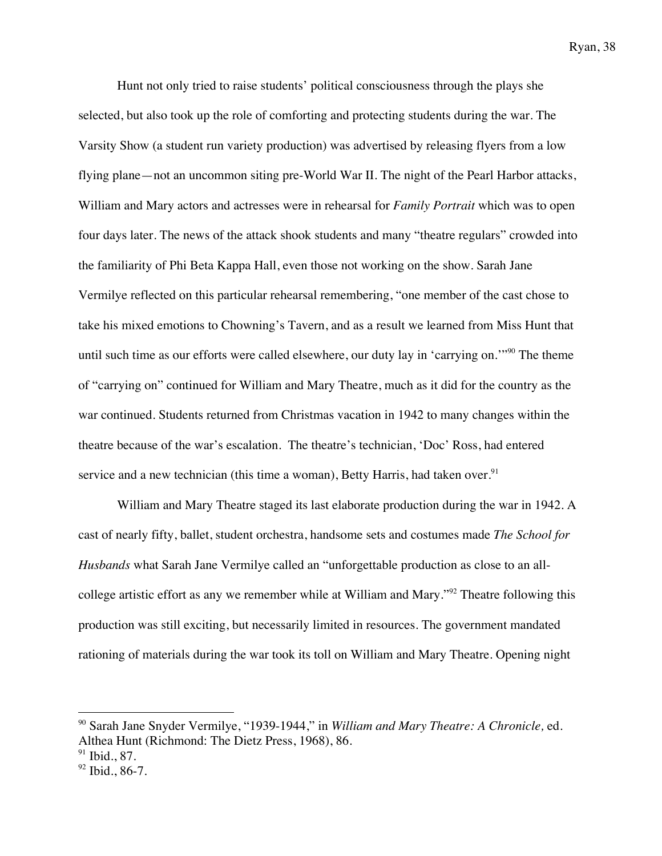Hunt not only tried to raise students' political consciousness through the plays she selected, but also took up the role of comforting and protecting students during the war. The Varsity Show (a student run variety production) was advertised by releasing flyers from a low flying plane—not an uncommon siting pre-World War II. The night of the Pearl Harbor attacks, William and Mary actors and actresses were in rehearsal for *Family Portrait* which was to open four days later. The news of the attack shook students and many "theatre regulars" crowded into the familiarity of Phi Beta Kappa Hall, even those not working on the show. Sarah Jane Vermilye reflected on this particular rehearsal remembering, "one member of the cast chose to take his mixed emotions to Chowning's Tavern, and as a result we learned from Miss Hunt that until such time as our efforts were called elsewhere, our duty lay in 'carrying on.'"<sup>90</sup> The theme of "carrying on" continued for William and Mary Theatre, much as it did for the country as the war continued. Students returned from Christmas vacation in 1942 to many changes within the theatre because of the war's escalation. The theatre's technician, 'Doc' Ross, had entered service and a new technician (this time a woman), Betty Harris, had taken over.<sup>91</sup>

William and Mary Theatre staged its last elaborate production during the war in 1942. A cast of nearly fifty, ballet, student orchestra, handsome sets and costumes made *The School for Husbands* what Sarah Jane Vermilye called an "unforgettable production as close to an allcollege artistic effort as any we remember while at William and Mary."<sup>92</sup> Theatre following this production was still exciting, but necessarily limited in resources. The government mandated rationing of materials during the war took its toll on William and Mary Theatre. Opening night

<sup>90</sup> Sarah Jane Snyder Vermilye, "1939-1944," in *William and Mary Theatre: A Chronicle,* ed. Althea Hunt (Richmond: The Dietz Press, 1968), 86.

 $91$  Ibid., 87.

 $92$  Ibid., 86-7.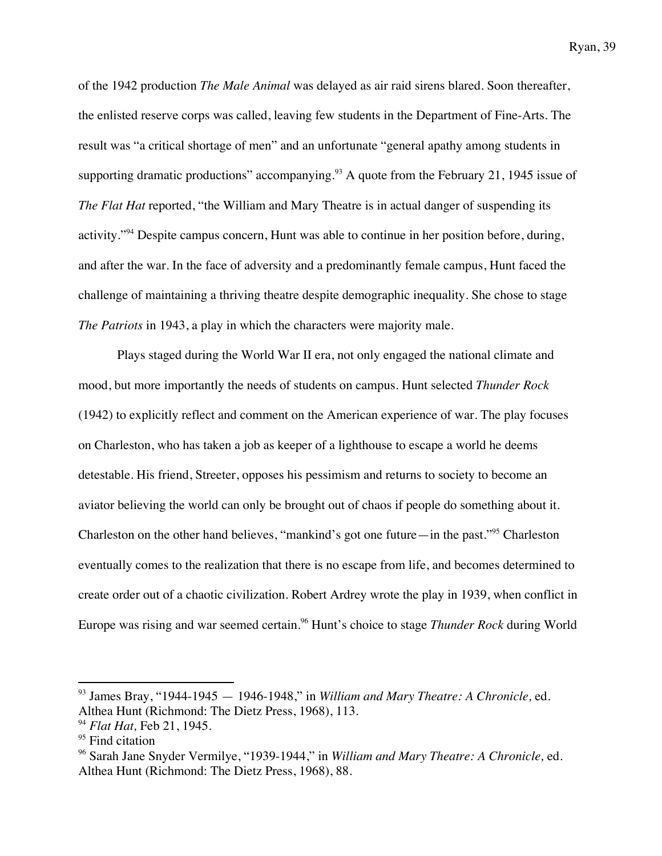of the 1942 production *The Male Animal* was delayed as air raid sirens blared. Soon thereafter, the enlisted reserve corps was called, leaving few students in the Department of Fine-Arts. The result was "a critical shortage of men" and an unfortunate "general apathy among students in supporting dramatic productions" accompanying.<sup>93</sup> A quote from the February 21, 1945 issue of *The Flat Hat* reported, "the William and Mary Theatre is in actual danger of suspending its activity."<sup>94</sup> Despite campus concern, Hunt was able to continue in her position before, during, and after the war. In the face of adversity and a predominantly female campus, Hunt faced the challenge of maintaining a thriving theatre despite demographic inequality. She chose to stage *The Patriots* in 1943, a play in which the characters were majority male.

Plays staged during the World War II era, not only engaged the national climate and mood, but more importantly the needs of students on campus. Hunt selected *Thunder Rock* (1942) to explicitly reflect and comment on the American experience of war. The play focuses on Charleston, who has taken a job as keeper of a lighthouse to escape a world he deems detestable. His friend, Streeter, opposes his pessimism and returns to society to become an aviator believing the world can only be brought out of chaos if people do something about it. Charleston on the other hand believes, "mankind's got one future—in the past."95 Charleston eventually comes to the realization that there is no escape from life, and becomes determined to create order out of a chaotic civilization. Robert Ardrey wrote the play in 1939, when conflict in Europe was rising and war seemed certain.<sup>96</sup> Hunt's choice to stage *Thunder Rock* during World

<sup>93</sup> James Bray, "1944-1945 — 1946-1948," in *William and Mary Theatre: A Chronicle,* ed. Althea Hunt (Richmond: The Dietz Press, 1968), 113.

<sup>94</sup> *Flat Hat,* Feb 21, 1945.

<sup>&</sup>lt;sup>95</sup> Find citation

<sup>96</sup> Sarah Jane Snyder Vermilye, "1939-1944," in *William and Mary Theatre: A Chronicle,* ed. Althea Hunt (Richmond: The Dietz Press, 1968), 88.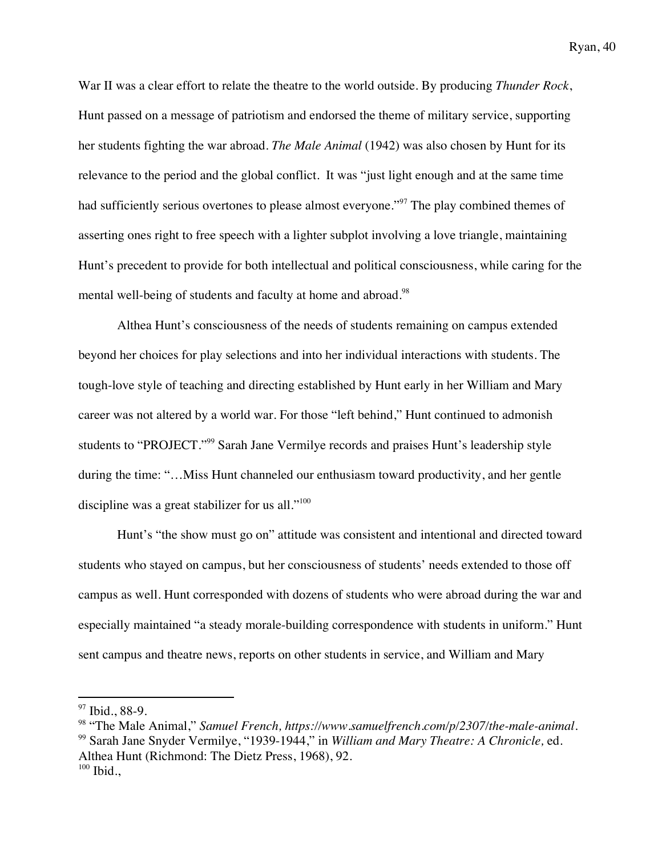War II was a clear effort to relate the theatre to the world outside. By producing *Thunder Rock*, Hunt passed on a message of patriotism and endorsed the theme of military service, supporting her students fighting the war abroad. *The Male Animal* (1942) was also chosen by Hunt for its relevance to the period and the global conflict. It was "just light enough and at the same time had sufficiently serious overtones to please almost everyone."<sup>97</sup> The play combined themes of asserting ones right to free speech with a lighter subplot involving a love triangle, maintaining Hunt's precedent to provide for both intellectual and political consciousness, while caring for the mental well-being of students and faculty at home and abroad.<sup>98</sup>

Althea Hunt's consciousness of the needs of students remaining on campus extended beyond her choices for play selections and into her individual interactions with students. The tough-love style of teaching and directing established by Hunt early in her William and Mary career was not altered by a world war. For those "left behind," Hunt continued to admonish students to "PROJECT."<sup>99</sup> Sarah Jane Vermilye records and praises Hunt's leadership style during the time: "…Miss Hunt channeled our enthusiasm toward productivity, and her gentle discipline was a great stabilizer for us all."<sup>100</sup>

Hunt's "the show must go on" attitude was consistent and intentional and directed toward students who stayed on campus, but her consciousness of students' needs extended to those off campus as well. Hunt corresponded with dozens of students who were abroad during the war and especially maintained "a steady morale-building correspondence with students in uniform." Hunt sent campus and theatre news, reports on other students in service, and William and Mary

<sup>&</sup>lt;sup>97</sup> Ibid., 88-9.

<sup>98</sup> "The Male Animal," *Samuel French, https://www.samuelfrench.com/p/2307/the-male-animal.* <sup>99</sup> Sarah Jane Snyder Vermilye, "1939-1944," in *William and Mary Theatre: A Chronicle,* ed. Althea Hunt (Richmond: The Dietz Press, 1968), 92.  $100$  Ibid.,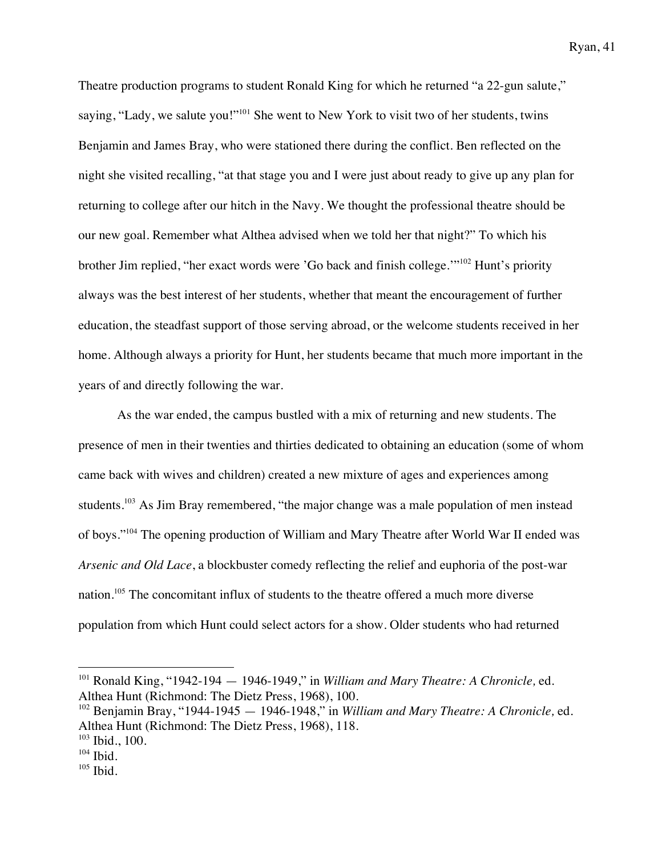Theatre production programs to student Ronald King for which he returned "a 22-gun salute," saying, "Lady, we salute you!"<sup>101</sup> She went to New York to visit two of her students, twins Benjamin and James Bray, who were stationed there during the conflict. Ben reflected on the night she visited recalling, "at that stage you and I were just about ready to give up any plan for returning to college after our hitch in the Navy. We thought the professional theatre should be our new goal. Remember what Althea advised when we told her that night?" To which his brother Jim replied, "her exact words were 'Go back and finish college.'"102 Hunt's priority always was the best interest of her students, whether that meant the encouragement of further education, the steadfast support of those serving abroad, or the welcome students received in her home. Although always a priority for Hunt, her students became that much more important in the years of and directly following the war.

As the war ended, the campus bustled with a mix of returning and new students. The presence of men in their twenties and thirties dedicated to obtaining an education (some of whom came back with wives and children) created a new mixture of ages and experiences among students.<sup>103</sup> As Jim Bray remembered, "the major change was a male population of men instead of boys."104 The opening production of William and Mary Theatre after World War II ended was *Arsenic and Old Lace*, a blockbuster comedy reflecting the relief and euphoria of the post-war nation.<sup>105</sup> The concomitant influx of students to the theatre offered a much more diverse population from which Hunt could select actors for a show. Older students who had returned

<sup>101</sup> Ronald King, "1942-194 — 1946-1949," in *William and Mary Theatre: A Chronicle,* ed. Althea Hunt (Richmond: The Dietz Press, 1968), 100.

<sup>102</sup> Benjamin Bray, "1944-1945 — 1946-1948," in *William and Mary Theatre: A Chronicle,* ed. Althea Hunt (Richmond: The Dietz Press, 1968), 118.

 $103$  Ibid., 100.

 $104$  Ibid.

 $105$  Ibid.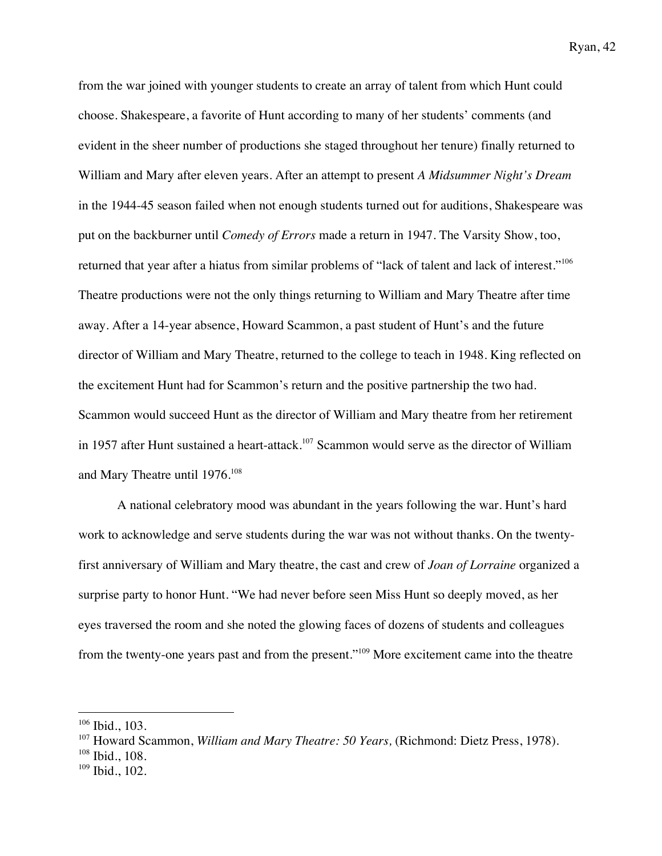from the war joined with younger students to create an array of talent from which Hunt could choose. Shakespeare, a favorite of Hunt according to many of her students' comments (and evident in the sheer number of productions she staged throughout her tenure) finally returned to William and Mary after eleven years. After an attempt to present *A Midsummer Night's Dream* in the 1944-45 season failed when not enough students turned out for auditions, Shakespeare was put on the backburner until *Comedy of Errors* made a return in 1947. The Varsity Show, too, returned that year after a hiatus from similar problems of "lack of talent and lack of interest."<sup>106</sup> Theatre productions were not the only things returning to William and Mary Theatre after time away. After a 14-year absence, Howard Scammon, a past student of Hunt's and the future director of William and Mary Theatre, returned to the college to teach in 1948. King reflected on the excitement Hunt had for Scammon's return and the positive partnership the two had. Scammon would succeed Hunt as the director of William and Mary theatre from her retirement in 1957 after Hunt sustained a heart-attack.<sup>107</sup> Scammon would serve as the director of William and Mary Theatre until 1976.<sup>108</sup>

A national celebratory mood was abundant in the years following the war. Hunt's hard work to acknowledge and serve students during the war was not without thanks. On the twentyfirst anniversary of William and Mary theatre, the cast and crew of *Joan of Lorraine* organized a surprise party to honor Hunt. "We had never before seen Miss Hunt so deeply moved, as her eyes traversed the room and she noted the glowing faces of dozens of students and colleagues from the twenty-one years past and from the present."<sup>109</sup> More excitement came into the theatre

 

<sup>108</sup> Ibid., 108.

<sup>106</sup> Ibid., 103.

<sup>107</sup> Howard Scammon, *William and Mary Theatre: 50 Years,* (Richmond: Dietz Press, 1978).

 $109$  Ibid., 102.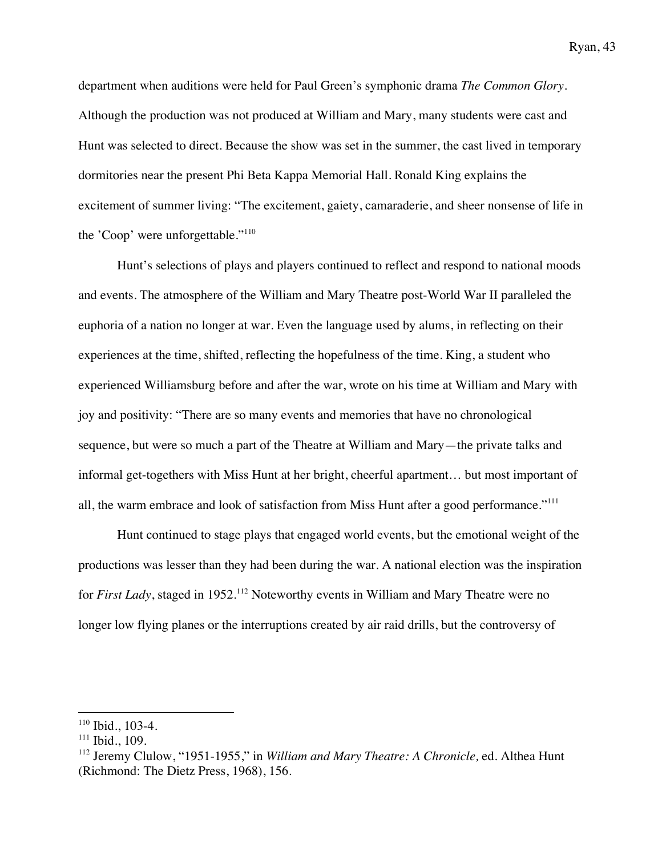department when auditions were held for Paul Green's symphonic drama *The Common Glory*. Although the production was not produced at William and Mary, many students were cast and Hunt was selected to direct. Because the show was set in the summer, the cast lived in temporary dormitories near the present Phi Beta Kappa Memorial Hall. Ronald King explains the excitement of summer living: "The excitement, gaiety, camaraderie, and sheer nonsense of life in the 'Coop' were unforgettable."<sup>110</sup>

Hunt's selections of plays and players continued to reflect and respond to national moods and events. The atmosphere of the William and Mary Theatre post-World War II paralleled the euphoria of a nation no longer at war. Even the language used by alums, in reflecting on their experiences at the time, shifted, reflecting the hopefulness of the time. King, a student who experienced Williamsburg before and after the war, wrote on his time at William and Mary with joy and positivity: "There are so many events and memories that have no chronological sequence, but were so much a part of the Theatre at William and Mary—the private talks and informal get-togethers with Miss Hunt at her bright, cheerful apartment… but most important of all, the warm embrace and look of satisfaction from Miss Hunt after a good performance."<sup>111</sup>

Hunt continued to stage plays that engaged world events, but the emotional weight of the productions was lesser than they had been during the war. A national election was the inspiration for *First Lady*, staged in 1952.<sup>112</sup> Noteworthy events in William and Mary Theatre were no longer low flying planes or the interruptions created by air raid drills, but the controversy of

<sup>110</sup> Ibid., 103-4.

<sup>&</sup>lt;sup>111</sup> Ibid., 109.

<sup>112</sup> Jeremy Clulow, "1951-1955," in *William and Mary Theatre: A Chronicle,* ed. Althea Hunt (Richmond: The Dietz Press, 1968), 156.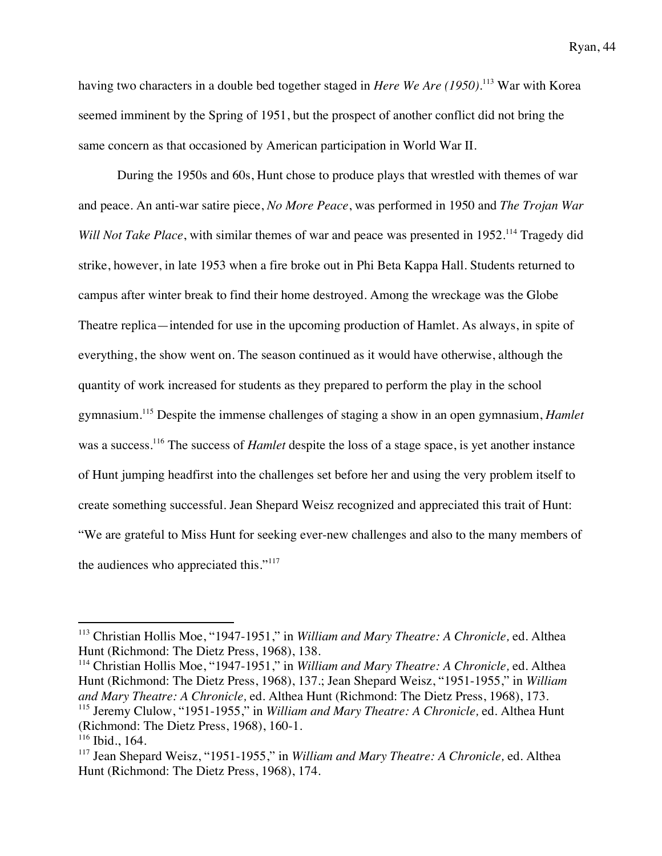having two characters in a double bed together staged in *Here We Are (1950)*. <sup>113</sup> War with Korea seemed imminent by the Spring of 1951, but the prospect of another conflict did not bring the same concern as that occasioned by American participation in World War II.

During the 1950s and 60s, Hunt chose to produce plays that wrestled with themes of war and peace. An anti-war satire piece, *No More Peace*, was performed in 1950 and *The Trojan War Will Not Take Place*, with similar themes of war and peace was presented in 1952.<sup>114</sup> Tragedy did strike, however, in late 1953 when a fire broke out in Phi Beta Kappa Hall. Students returned to campus after winter break to find their home destroyed. Among the wreckage was the Globe Theatre replica—intended for use in the upcoming production of Hamlet. As always, in spite of everything, the show went on. The season continued as it would have otherwise, although the quantity of work increased for students as they prepared to perform the play in the school gymnasium.<sup>115</sup> Despite the immense challenges of staging a show in an open gymnasium, *Hamlet*  was a success.<sup>116</sup> The success of *Hamlet* despite the loss of a stage space, is yet another instance of Hunt jumping headfirst into the challenges set before her and using the very problem itself to create something successful. Jean Shepard Weisz recognized and appreciated this trait of Hunt: "We are grateful to Miss Hunt for seeking ever-new challenges and also to the many members of the audiences who appreciated this."<sup>117</sup>

<sup>114</sup> Christian Hollis Moe, "1947-1951," in *William and Mary Theatre: A Chronicle,* ed. Althea Hunt (Richmond: The Dietz Press, 1968), 137.; Jean Shepard Weisz, "1951-1955," in *William and Mary Theatre: A Chronicle,* ed. Althea Hunt (Richmond: The Dietz Press, 1968), 173. <sup>115</sup> Jeremy Clulow, "1951-1955," in *William and Mary Theatre: A Chronicle,* ed. Althea Hunt

<sup>113</sup> Christian Hollis Moe, "1947-1951," in *William and Mary Theatre: A Chronicle,* ed. Althea Hunt (Richmond: The Dietz Press, 1968), 138.

<sup>(</sup>Richmond: The Dietz Press, 1968), 160-1.

 $116$  Ibid., 164.

<sup>117</sup> Jean Shepard Weisz, "1951-1955," in *William and Mary Theatre: A Chronicle,* ed. Althea Hunt (Richmond: The Dietz Press, 1968), 174.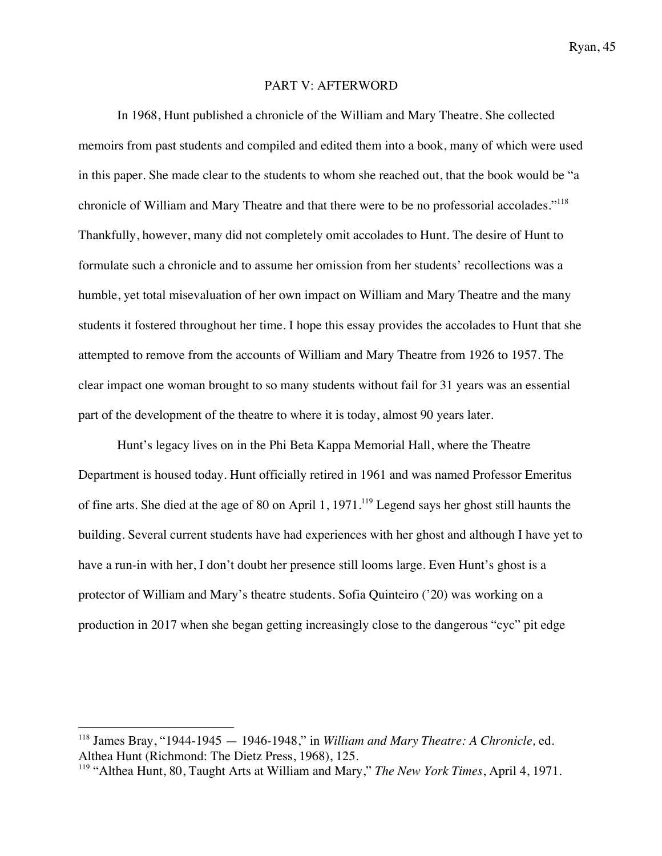#### PART V: AFTERWORD

In 1968, Hunt published a chronicle of the William and Mary Theatre. She collected memoirs from past students and compiled and edited them into a book, many of which were used in this paper. She made clear to the students to whom she reached out, that the book would be "a chronicle of William and Mary Theatre and that there were to be no professorial accolades."<sup>118</sup> Thankfully, however, many did not completely omit accolades to Hunt. The desire of Hunt to formulate such a chronicle and to assume her omission from her students' recollections was a humble, yet total misevaluation of her own impact on William and Mary Theatre and the many students it fostered throughout her time. I hope this essay provides the accolades to Hunt that she attempted to remove from the accounts of William and Mary Theatre from 1926 to 1957. The clear impact one woman brought to so many students without fail for 31 years was an essential part of the development of the theatre to where it is today, almost 90 years later.

Hunt's legacy lives on in the Phi Beta Kappa Memorial Hall, where the Theatre Department is housed today. Hunt officially retired in 1961 and was named Professor Emeritus of fine arts. She died at the age of 80 on April 1, 1971.119 Legend says her ghost still haunts the building. Several current students have had experiences with her ghost and although I have yet to have a run-in with her, I don't doubt her presence still looms large. Even Hunt's ghost is a protector of William and Mary's theatre students. Sofia Quinteiro ('20) was working on a production in 2017 when she began getting increasingly close to the dangerous "cyc" pit edge

<sup>118</sup> James Bray, "1944-1945 — 1946-1948," in *William and Mary Theatre: A Chronicle,* ed. Althea Hunt (Richmond: The Dietz Press, 1968), 125.

<sup>119</sup> "Althea Hunt, 80, Taught Arts at William and Mary," *The New York Times*, April 4, 1971.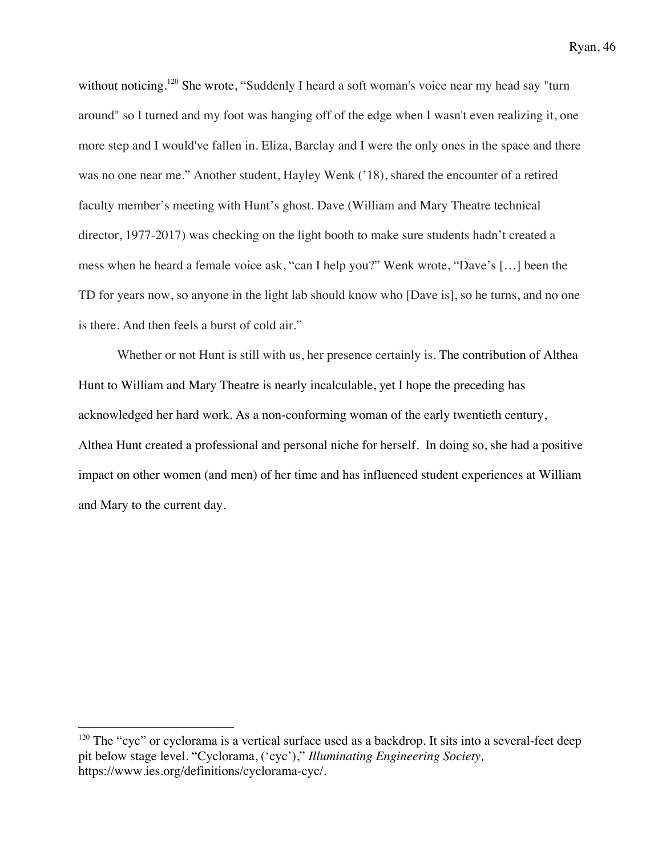without noticing.<sup>120</sup> She wrote, "Suddenly I heard a soft woman's voice near my head say "turn around" so I turned and my foot was hanging off of the edge when I wasn't even realizing it, one more step and I would've fallen in. Eliza, Barclay and I were the only ones in the space and there was no one near me." Another student, Hayley Wenk ('18), shared the encounter of a retired faculty member's meeting with Hunt's ghost. Dave (William and Mary Theatre technical director, 1977-2017) was checking on the light booth to make sure students hadn't created a mess when he heard a female voice ask, "can I help you?" Wenk wrote, "Dave's […] been the TD for years now, so anyone in the light lab should know who [Dave is], so he turns, and no one is there. And then feels a burst of cold air."

Whether or not Hunt is still with us, her presence certainly is. The contribution of Althea Hunt to William and Mary Theatre is nearly incalculable, yet I hope the preceding has acknowledged her hard work. As a non-conforming woman of the early twentieth century, Althea Hunt created a professional and personal niche for herself. In doing so, she had a positive impact on other women (and men) of her time and has influenced student experiences at William and Mary to the current day.

 $120$  The "cyc" or cyclorama is a vertical surface used as a backdrop. It sits into a several-feet deep pit below stage level. "Cyclorama, ('cyc')," *Illuminating Engineering Society,*  https://www.ies.org/definitions/cyclorama-cyc/.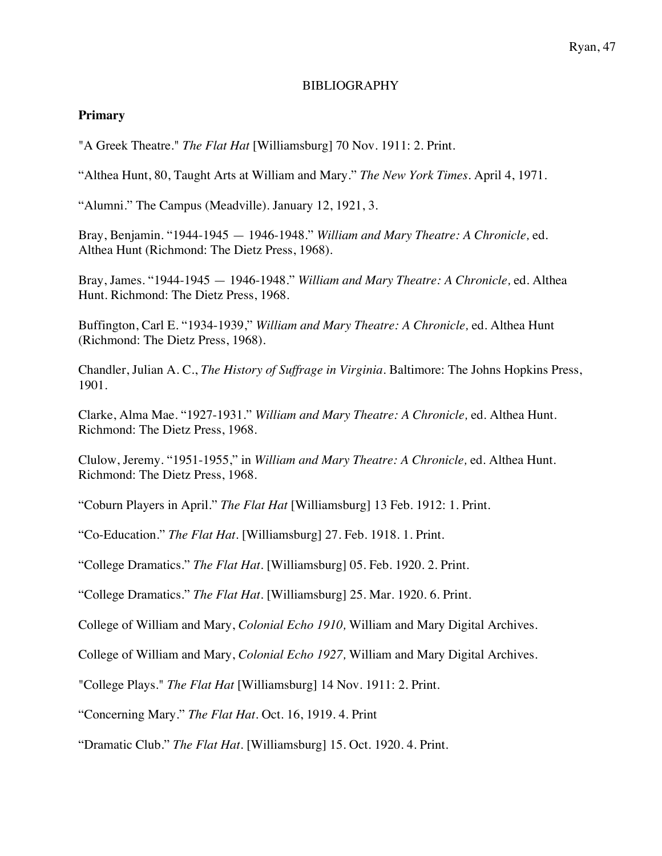### BIBLIOGRAPHY

### **Primary**

"A Greek Theatre." *The Flat Hat* [Williamsburg] 70 Nov. 1911: 2. Print.

"Althea Hunt, 80, Taught Arts at William and Mary." *The New York Times*. April 4, 1971.

"Alumni." The Campus (Meadville). January 12, 1921, 3.

Bray, Benjamin. "1944-1945 — 1946-1948." *William and Mary Theatre: A Chronicle,* ed. Althea Hunt (Richmond: The Dietz Press, 1968).

Bray, James. "1944-1945 — 1946-1948." *William and Mary Theatre: A Chronicle,* ed. Althea Hunt. Richmond: The Dietz Press, 1968.

Buffington, Carl E. "1934-1939," *William and Mary Theatre: A Chronicle,* ed. Althea Hunt (Richmond: The Dietz Press, 1968).

Chandler, Julian A. C., *The History of Suffrage in Virginia.* Baltimore: The Johns Hopkins Press, 1901.

Clarke, Alma Mae. "1927-1931." *William and Mary Theatre: A Chronicle,* ed. Althea Hunt. Richmond: The Dietz Press, 1968.

Clulow, Jeremy. "1951-1955," in *William and Mary Theatre: A Chronicle,* ed. Althea Hunt. Richmond: The Dietz Press, 1968.

"Coburn Players in April." *The Flat Hat* [Williamsburg] 13 Feb. 1912: 1. Print.

"Co-Education." *The Flat Hat.* [Williamsburg] 27. Feb. 1918. 1. Print.

"College Dramatics." *The Flat Hat.* [Williamsburg] 05. Feb. 1920. 2. Print.

"College Dramatics." *The Flat Hat.* [Williamsburg] 25. Mar. 1920. 6. Print.

College of William and Mary, *Colonial Echo 1910,* William and Mary Digital Archives*.*

College of William and Mary, *Colonial Echo 1927,* William and Mary Digital Archives.

"College Plays." *The Flat Hat* [Williamsburg] 14 Nov. 1911: 2. Print.

"Concerning Mary." *The Flat Hat*. Oct. 16, 1919. 4. Print

"Dramatic Club." *The Flat Hat.* [Williamsburg] 15. Oct. 1920. 4. Print.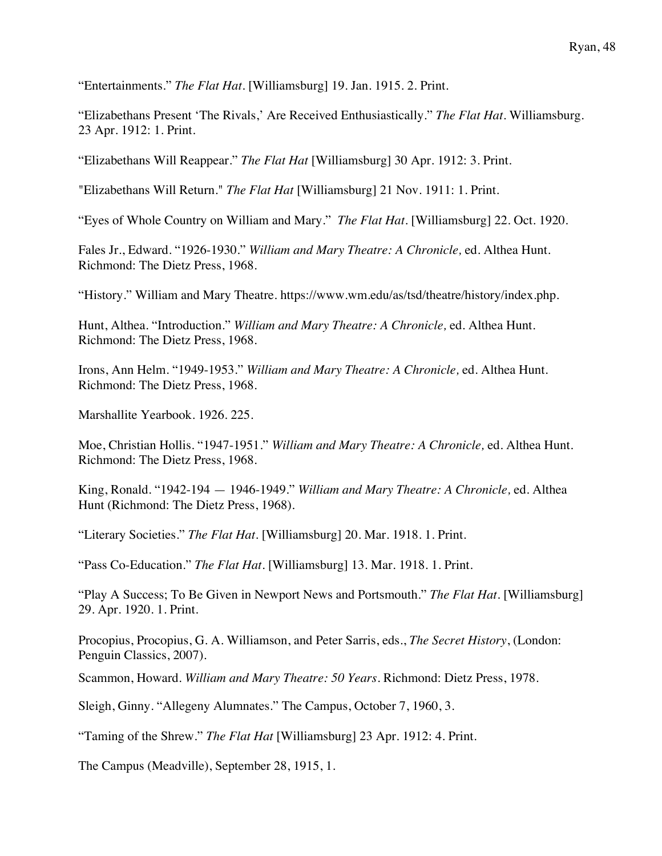"Entertainments." *The Flat Hat.* [Williamsburg] 19. Jan. 1915. 2. Print.

"Elizabethans Present 'The Rivals,' Are Received Enthusiastically." *The Flat Hat.* Williamsburg. 23 Apr. 1912: 1. Print.

"Elizabethans Will Reappear." *The Flat Hat* [Williamsburg] 30 Apr. 1912: 3. Print.

"Elizabethans Will Return." *The Flat Hat* [Williamsburg] 21 Nov. 1911: 1. Print.

"Eyes of Whole Country on William and Mary." *The Flat Hat*. [Williamsburg] 22. Oct. 1920.

Fales Jr., Edward. "1926-1930." *William and Mary Theatre: A Chronicle,* ed. Althea Hunt. Richmond: The Dietz Press, 1968.

"History." William and Mary Theatre*.* https://www.wm.edu/as/tsd/theatre/history/index.php*.* 

Hunt, Althea. "Introduction." *William and Mary Theatre: A Chronicle,* ed. Althea Hunt. Richmond: The Dietz Press, 1968.

Irons, Ann Helm. "1949-1953." *William and Mary Theatre: A Chronicle,* ed. Althea Hunt. Richmond: The Dietz Press, 1968.

Marshallite Yearbook. 1926. 225.

Moe, Christian Hollis. "1947-1951." *William and Mary Theatre: A Chronicle,* ed. Althea Hunt. Richmond: The Dietz Press, 1968.

King, Ronald. "1942-194 — 1946-1949." *William and Mary Theatre: A Chronicle,* ed. Althea Hunt (Richmond: The Dietz Press, 1968).

"Literary Societies." *The Flat Hat.* [Williamsburg] 20. Mar. 1918. 1. Print.

"Pass Co-Education." *The Flat Hat*. [Williamsburg] 13. Mar. 1918. 1. Print.

"Play A Success; To Be Given in Newport News and Portsmouth." *The Flat Hat.* [Williamsburg] 29. Apr. 1920. 1. Print.

Procopius, Procopius, G. A. Williamson, and Peter Sarris, eds., *The Secret History*, (London: Penguin Classics, 2007).

Scammon, Howard. *William and Mary Theatre: 50 Years.* Richmond: Dietz Press, 1978.

Sleigh, Ginny. "Allegeny Alumnates." The Campus, October 7, 1960, 3.

"Taming of the Shrew." *The Flat Hat* [Williamsburg] 23 Apr. 1912: 4. Print.

The Campus (Meadville), September 28, 1915, 1.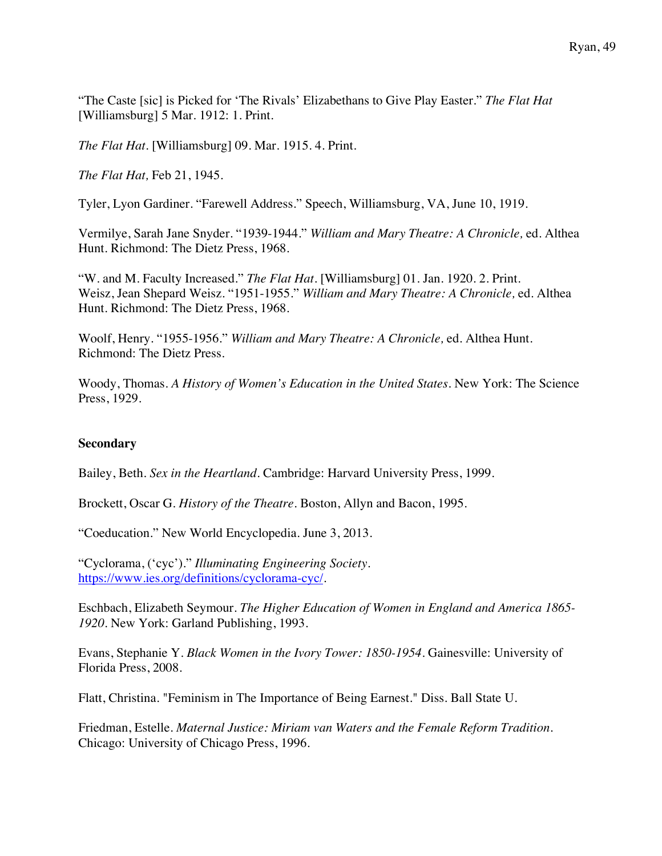"The Caste [sic] is Picked for 'The Rivals' Elizabethans to Give Play Easter." *The Flat Hat* [Williamsburg] 5 Mar. 1912: 1. Print.

*The Flat Hat*. [Williamsburg] 09. Mar. 1915. 4. Print.

*The Flat Hat,* Feb 21, 1945.

Tyler, Lyon Gardiner. "Farewell Address." Speech, Williamsburg, VA, June 10, 1919.

Vermilye, Sarah Jane Snyder. "1939-1944." *William and Mary Theatre: A Chronicle,* ed. Althea Hunt. Richmond: The Dietz Press, 1968.

"W. and M. Faculty Increased." *The Flat Hat*. [Williamsburg] 01. Jan. 1920. 2. Print. Weisz, Jean Shepard Weisz. "1951-1955." *William and Mary Theatre: A Chronicle,* ed. Althea Hunt. Richmond: The Dietz Press, 1968.

Woolf, Henry. "1955-1956." *William and Mary Theatre: A Chronicle,* ed. Althea Hunt. Richmond: The Dietz Press.

Woody, Thomas. *A History of Women's Education in the United States*. New York: The Science Press, 1929.

### **Secondary**

Bailey, Beth. *Sex in the Heartland*. Cambridge: Harvard University Press, 1999.

Brockett, Oscar G. *History of the Theatre.* Boston, Allyn and Bacon, 1995.

"Coeducation." New World Encyclopedia. June 3, 2013.

"Cyclorama, ('cyc')." *Illuminating Engineering Society.*  https://www.ies.org/definitions/cyclorama-cyc/.

Eschbach, Elizabeth Seymour. *The Higher Education of Women in England and America 1865- 1920.* New York: Garland Publishing, 1993.

Evans, Stephanie Y. *Black Women in the Ivory Tower: 1850-1954*. Gainesville: University of Florida Press, 2008.

Flatt, Christina. "Feminism in The Importance of Being Earnest." Diss. Ball State U.

Friedman, Estelle. *Maternal Justice: Miriam van Waters and the Female Reform Tradition.* Chicago: University of Chicago Press, 1996.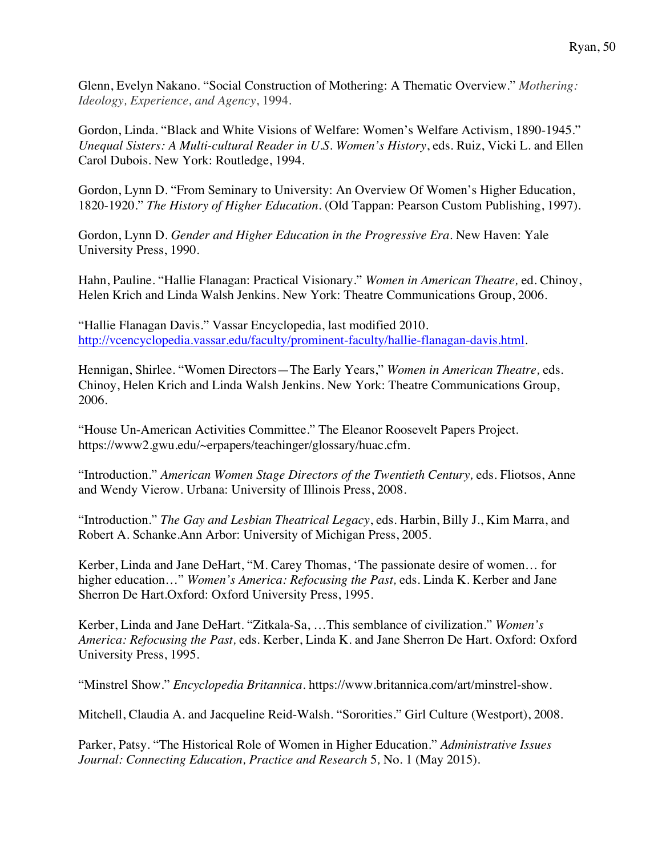Glenn, Evelyn Nakano. "Social Construction of Mothering: A Thematic Overview." *Mothering: Ideology, Experience, and Agency*, 1994.

Gordon, Linda. "Black and White Visions of Welfare: Women's Welfare Activism, 1890-1945." *Unequal Sisters: A Multi-cultural Reader in U.S. Women's History*, eds. Ruiz, Vicki L. and Ellen Carol Dubois. New York: Routledge, 1994.

Gordon, Lynn D. "From Seminary to University: An Overview Of Women's Higher Education, 1820-1920." *The History of Higher Education.* (Old Tappan: Pearson Custom Publishing, 1997).

Gordon, Lynn D. *Gender and Higher Education in the Progressive Era.* New Haven: Yale University Press, 1990.

Hahn, Pauline. "Hallie Flanagan: Practical Visionary." *Women in American Theatre,* ed. Chinoy, Helen Krich and Linda Walsh Jenkins. New York: Theatre Communications Group, 2006.

"Hallie Flanagan Davis." Vassar Encyclopedia, last modified 2010. http://vcencyclopedia.vassar.edu/faculty/prominent-faculty/hallie-flanagan-davis.html.

Hennigan, Shirlee. "Women Directors—The Early Years," *Women in American Theatre,* eds. Chinoy, Helen Krich and Linda Walsh Jenkins. New York: Theatre Communications Group, 2006.

"House Un-American Activities Committee." The Eleanor Roosevelt Papers Project. https://www2.gwu.edu/~erpapers/teachinger/glossary/huac.cfm.

"Introduction." *American Women Stage Directors of the Twentieth Century,* eds. Fliotsos, Anne and Wendy Vierow. Urbana: University of Illinois Press, 2008.

"Introduction." *The Gay and Lesbian Theatrical Legacy*, eds. Harbin, Billy J., Kim Marra, and Robert A. Schanke.Ann Arbor: University of Michigan Press, 2005.

Kerber, Linda and Jane DeHart, "M. Carey Thomas, 'The passionate desire of women… for higher education…" *Women's America: Refocusing the Past,* eds. Linda K. Kerber and Jane Sherron De Hart.Oxford: Oxford University Press, 1995.

Kerber, Linda and Jane DeHart. "Zitkala-Sa, …This semblance of civilization." *Women's America: Refocusing the Past,* eds. Kerber, Linda K. and Jane Sherron De Hart. Oxford: Oxford University Press, 1995.

"Minstrel Show." *Encyclopedia Britannica*. https://www.britannica.com/art/minstrel-show.

Mitchell, Claudia A. and Jacqueline Reid-Walsh. "Sororities." Girl Culture (Westport), 2008.

Parker, Patsy. "The Historical Role of Women in Higher Education." *Administrative Issues Journal: Connecting Education, Practice and Research* 5*,* No. 1 (May 2015).